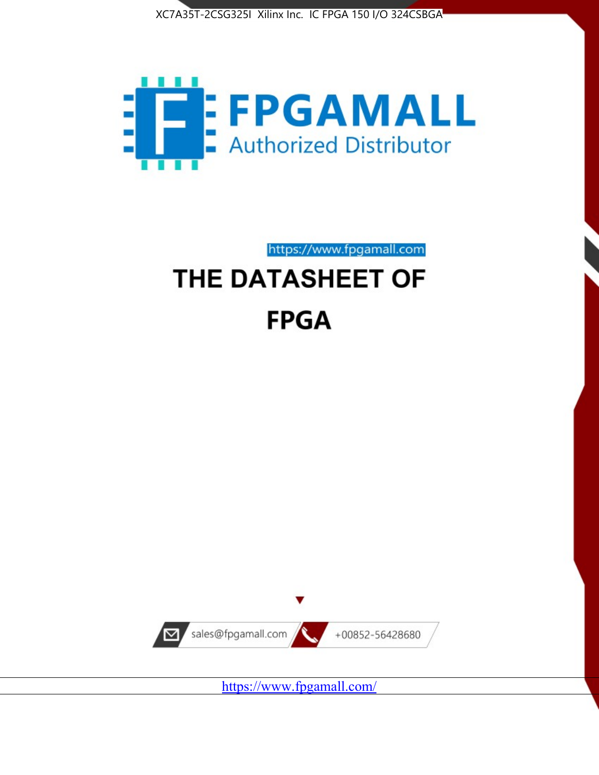



https://www.fpgamall.com

# THE DATASHEET OF **FPGA**



<https://www.fpgamall.com/>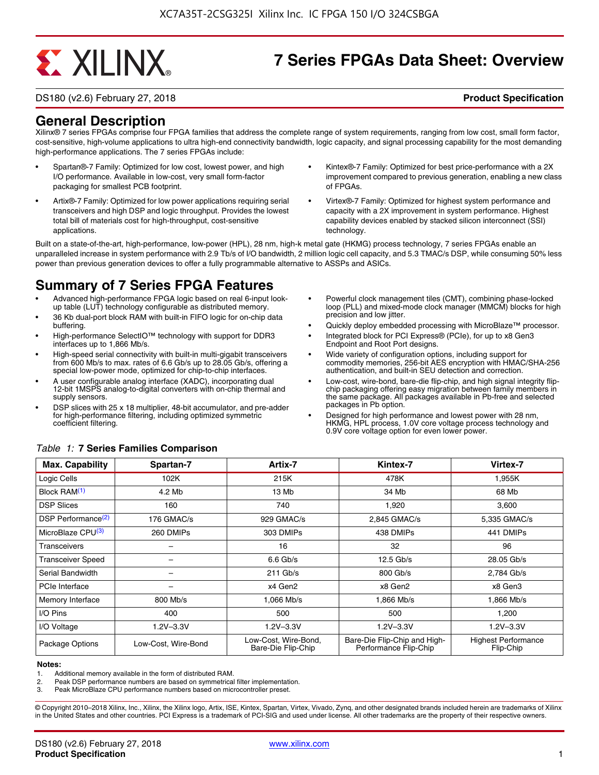# **EXALINX**

# **7 Series FPGAs Data Sheet: Overview**

DS180 (v2.6) February 27, 2018 **Product Specification**

# **General Description**

Xilinx® 7 series FPGAs comprise four FPGA families that address the complete range of system requirements, ranging from low cost, small form factor, cost-sensitive, high-volume applications to ultra high-end connectivity bandwidth, logic capacity, and signal processing capability for the most demanding high-performance applications. The 7 series FPGAs include:

- Spartan®-7 Family: Optimized for low cost, lowest power, and high I/O performance. Available in low-cost, very small form-factor packaging for smallest PCB footprint.
- Artix®-7 Family: Optimized for low power applications requiring serial transceivers and high DSP and logic throughput. Provides the lowest total bill of materials cost for high-throughput, cost-sensitive applications.
- Kintex®-7 Family: Optimized for best price-performance with a 2X improvement compared to previous generation, enabling a new class of FPGAs.
- Virtex®-7 Family: Optimized for highest system performance and capacity with a 2X improvement in system performance. Highest capability devices enabled by stacked silicon interconnect (SSI) technology

Built on a state-of-the-art, high-performance, low-power (HPL), 28 nm, high-k metal gate (HKMG) process technology, 7 series FPGAs enable an unparalleled increase in system performance with 2.9 Tb/s of I/O bandwidth, 2 million logic cell capacity, and 5.3 TMAC/s DSP, while consuming 50% less power than previous generation devices to offer a fully programmable alternative to ASSPs and ASICs.

# **Summary of 7 Series FPGA Features**

- Advanced high-performance FPGA logic based on real 6-input lookup table (LUT) technology configurable as distributed memory.
- 36 Kb dual-port block RAM with built-in FIFO logic for on-chip data buffering.
- High-performance SelectIO™ technology with support for DDR3 interfaces up to 1,866 Mb/s.
- High-speed serial connectivity with built-in multi-gigabit transceivers from 600 Mb/s to max. rates of 6.6 Gb/s up to 28.05 Gb/s, offering a special low-power mode, optimized for chip-to-chip interfaces.
- A user configurable analog interface (XADC), incorporating dual 12-bit 1MSPS analog-to-digital converters with on-chip thermal and supply sensors.
- DSP slices with 25 x 18 multiplier, 48-bit accumulator, and pre-adder for high-performance filtering, including optimized symmetric coefficient filtering.
- Powerful clock management tiles (CMT), combining phase-locked loop (PLL) and mixed-mode clock manager (MMCM) blocks for high precision and low jitter.
- Quickly deploy embedded processing with MicroBlaze™ processor.
- Integrated block for PCI Express® (PCIe), for up to x8 Gen3 Endpoint and Root Port designs.
- Wide variety of configuration options, including support for commodity memories, 256-bit AES encryption with HMAC/SHA-256 authentication, and built-in SEU detection and correction.
- Low-cost, wire-bond, bare-die flip-chip, and high signal integrity flipchip packaging offering easy migration between family members in the same package. All packages available in Pb-free and selected packages in Pb option.
- Designed for high performance and lowest power with 28 nm, HKMG, HPL process, 1.0V core voltage process technology and 0.9V core voltage option for even lower power.

| <b>Max. Capability</b>         | Spartan-7           | Artix-7                                    | Kintex-7                                              | Virtex-7                                |
|--------------------------------|---------------------|--------------------------------------------|-------------------------------------------------------|-----------------------------------------|
| Logic Cells                    | 102K                | 215K                                       | 478K                                                  | 1,955K                                  |
| Block RAM <sup>(1)</sup>       | 4.2 Mb              | 13 Mb                                      | 34 Mb                                                 | 68 Mb                                   |
| <b>DSP Slices</b>              | 160                 | 740                                        | 1,920                                                 | 3,600                                   |
| DSP Performance <sup>(2)</sup> | 176 GMAC/s          | 929 GMAC/s                                 | 2,845 GMAC/s                                          | 5,335 GMAC/s                            |
| MicroBlaze CPU <sup>(3)</sup>  | 260 DMIPs           | 303 DMIPs                                  | 438 DMIPs                                             | 441 DMIPs                               |
| Transceivers                   |                     | 16                                         | 32                                                    | 96                                      |
| <b>Transceiver Speed</b>       |                     | $6.6$ Gb/s                                 | $12.5$ Gb/s                                           | 28.05 Gb/s                              |
| Serial Bandwidth               |                     | $211$ Gb/s                                 | 800 Gb/s                                              | 2,784 Gb/s                              |
| PCIe Interface                 | -                   | x4 Gen2                                    | x8 Gen2                                               | x8 Gen3                                 |
| Memory Interface               | 800 Mb/s            | 1.066 Mb/s                                 | 1.866 Mb/s                                            | 1.866 Mb/s                              |
| I/O Pins                       | 400                 | 500                                        | 500                                                   | 1,200                                   |
| I/O Voltage                    | $1.2V - 3.3V$       | $1.2V - 3.3V$                              | $1.2V - 3.3V$                                         | $1.2V - 3.3V$                           |
| Package Options                | Low-Cost, Wire-Bond | Low-Cost, Wire-Bond,<br>Bare-Die Flip-Chip | Bare-Die Flip-Chip and High-<br>Performance Flip-Chip | <b>Highest Performance</b><br>Flip-Chip |

#### *Table 1:* **7 Series Families Comparison**

#### **Notes:**

1. Additional memory available in the form of distributed RAM.

2. Peak DSP performance numbers are based on symmetrical filter implementation.<br>3. Peak MicroBlaze CPU performance numbers based on microcontroller preset.

Peak MicroBlaze CPU performance numbers based on microcontroller preset.

© Copyright 2010–2018 Xilinx, Inc., Xilinx, the Xilinx logo, Artix, ISE, Kintex, Spartan, Virtex, Vivado, Zynq, and other designated brands included herein are trademarks of Xilinx in the United States and other countries. PCI Express is a trademark of PCI-SIG and used under license. All other trademarks are the property of their respective owners.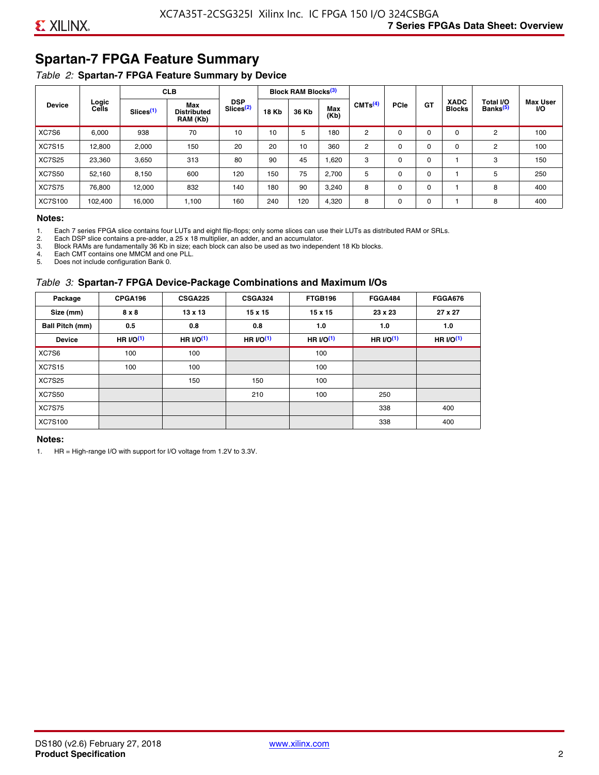# **Spartan-7 FPGA Feature Summary**

#### *Table 2:* **Spartan-7 FPGA Feature Summary by Device**

|               |                |                       | <b>CLB</b>                            |                                     |              | <b>Block RAM Blocks</b> <sup>(3)</sup> |             |                     |             |             |                              |                                   |                              |
|---------------|----------------|-----------------------|---------------------------------------|-------------------------------------|--------------|----------------------------------------|-------------|---------------------|-------------|-------------|------------------------------|-----------------------------------|------------------------------|
| <b>Device</b> | Logic<br>Cells | Slices <sup>(1)</sup> | Max<br><b>Distributed</b><br>RAM (Kb) | <b>DSP</b><br>Slices <sup>(2)</sup> | <b>18 Kb</b> | 36 Kb                                  | Max<br>(Kb) | CMTS <sup>(4)</sup> | <b>PCle</b> | <b>GT</b>   | <b>XADC</b><br><b>Blocks</b> | Total I/O<br>Banks <sup>(5)</sup> | <b>Max User</b><br><b>VO</b> |
| XC7S6         | 6,000          | 938                   | 70                                    | 10                                  | 10           | 5                                      | 180         | 2                   | $\Omega$    | 0           | 0                            | 2                                 | 100                          |
| <b>XC7S15</b> | 12,800         | 2,000                 | 150                                   | 20                                  | 20           | 10                                     | 360         | 2                   | $\Omega$    | $\mathbf 0$ | 0                            | 2                                 | 100                          |
| <b>XC7S25</b> | 23,360         | 3,650                 | 313                                   | 80                                  | 90           | 45                                     | 1,620       | 3                   | 0           | 0           |                              | 3                                 | 150                          |
| <b>XC7S50</b> | 52,160         | 8,150                 | 600                                   | 120                                 | 150          | 75                                     | 2,700       | 5                   | $\Omega$    | 0           |                              | 5                                 | 250                          |
| <b>XC7S75</b> | 76,800         | 12,000                | 832                                   | 140                                 | 180          | 90                                     | 3,240       | 8                   | 0           | 0           |                              | 8                                 | 400                          |
| XC7S100       | 102,400        | 16.000                | 1,100                                 | 160                                 | 240          | 120                                    | 4,320       | 8                   | 0           | 0           |                              | 8                                 | 400                          |

#### **Notes:**

1. Each 7 series FPGA slice contains four LUTs and eight flip-flops; only some slices can use their LUTs as distributed RAM or SRLs.<br>2. Each DSP slice contains a pre-adder. a 25 x 18 multiplier. an adder. and an accumulato

2. Each DSP slice contains a pre-adder, a 25 x 18 multiplier, an adder, and an accumulator. 3. Block RAMs are fundamentally 36 Kb in size; each block can also be used as two independent 18 Kb blocks.

4. Each CMT contains one MMCM and one PLL.

5. Does not include configuration Bank 0.

#### *Table 3:* **Spartan-7 FPGA Device-Package Combinations and Maximum I/Os**

| Package         | CPGA196      | <b>CSGA225</b> | <b>CSGA324</b> | FTGB196    | <b>FGGA484</b> | <b>FGGA676</b> |
|-----------------|--------------|----------------|----------------|------------|----------------|----------------|
| Size (mm)       | $8 \times 8$ | $13 \times 13$ | $15 \times 15$ | 15 x 15    | 23 x 23        | 27 x 27        |
| Ball Pitch (mm) | 0.5          | 0.8            | 0.8            | 1.0        | 1.0            | 1.0            |
| <b>Device</b>   | HR $l$ (1)   | HR $UO(1)$     | HR $UO(1)$     | HR $UO(1)$ | HR $UO(1)$     | HR $UO(1)$     |
| XC7S6           | 100          | 100            |                | 100        |                |                |
| <b>XC7S15</b>   | 100          | 100            |                | 100        |                |                |
| <b>XC7S25</b>   |              | 150            | 150            | 100        |                |                |
| <b>XC7S50</b>   |              |                | 210            | 100        | 250            |                |
| <b>XC7S75</b>   |              |                |                |            | 338            | 400            |
| <b>XC7S100</b>  |              |                |                |            | 338            | 400            |

#### **Notes:**

1. HR = High-range I/O with support for I/O voltage from 1.2V to 3.3V.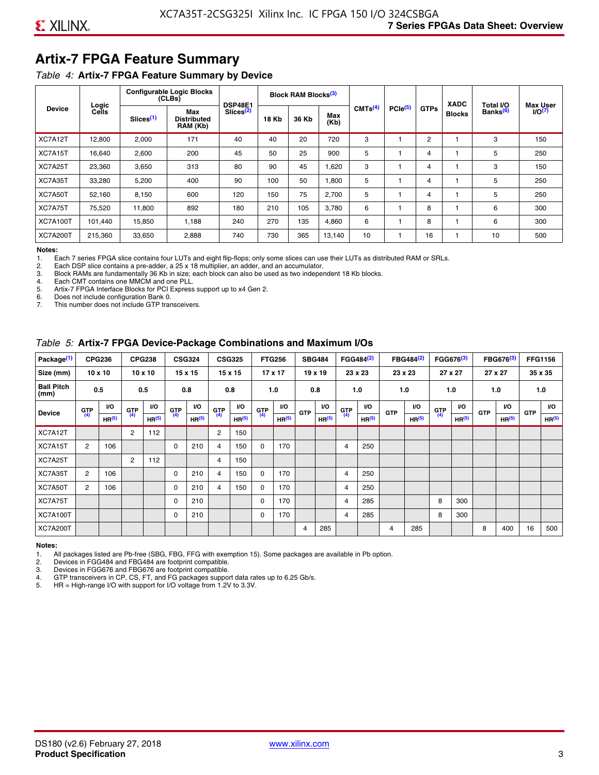# **Artix-7 FPGA Feature Summary**

#### *Table 4:* **Artix-7 FPGA Feature Summary by Device**

|                 |                |                       | <b>Configurable Logic Blocks</b><br>(CLBs) | <b>DSP48E1</b>        |              | Block RAM Blocks <sup>(3)</sup> |             |                     |                     |             | <b>XADC</b>   | Total I/O            | <b>Max User</b>    |
|-----------------|----------------|-----------------------|--------------------------------------------|-----------------------|--------------|---------------------------------|-------------|---------------------|---------------------|-------------|---------------|----------------------|--------------------|
| <b>Device</b>   | Logic<br>Cells | Slices <sup>(1)</sup> | Max<br><b>Distributed</b><br>RAM (Kb)      | Slices <sup>(2)</sup> | <b>18 Kb</b> | 36 Kb                           | Max<br>(Kb) | CMTS <sup>(4)</sup> | PCle <sup>(5)</sup> | <b>GTPs</b> | <b>Blocks</b> | Banks <sup>(6)</sup> | I/O <sub>(7)</sub> |
| XC7A12T         | 12,800         | 2,000                 | 171                                        | 40                    | 40           | 20                              | 720         | 3                   |                     | 2           |               | 3                    | 150                |
| XC7A15T         | 16,640         | 2,600                 | 200                                        | 45                    | 50           | 25                              | 900         | 5                   |                     | 4           |               | 5                    | 250                |
| XC7A25T         | 23,360         | 3,650                 | 313                                        | 80                    | 90           | 45                              | 1,620       | 3                   |                     | 4           |               | 3                    | 150                |
| XC7A35T         | 33,280         | 5,200                 | 400                                        | 90                    | 100          | 50                              | 1,800       | 5                   |                     | 4           |               | 5                    | 250                |
| XC7A50T         | 52,160         | 8,150                 | 600                                        | 120                   | 150          | 75                              | 2.700       | 5                   |                     | 4           |               | 5                    | 250                |
| XC7A75T         | 75,520         | 11,800                | 892                                        | 180                   | 210          | 105                             | 3,780       | 6                   |                     | 8           |               | 6                    | 300                |
| <b>XC7A100T</b> | 101.440        | 15,850                | 1.188                                      | 240                   | 270          | 135                             | 4,860       | 6                   |                     | 8           |               | 6                    | 300                |
| <b>XC7A200T</b> | 215,360        | 33,650                | 2,888                                      | 740                   | 730          | 365                             | 13,140      | 10                  |                     | 16          |               | 10                   | 500                |

**Notes:**  Each 7 series FPGA slice contains four LUTs and eight flip-flops; only some slices can use their LUTs as distributed RAM or SRLs.

2. Each DSP slice contains a pre-adder, a 25 x 18 multiplier, an adder, and an accumulator.

3. Block RAMs are fundamentally 36 Kb in size; each block can also be used as two independent 18 Kb blocks.

4. Each CMT contains one MMCM and one PLL.<br>5. Artix-7 FPGA Interface Blocks for PCI Express

5. Artix-7 FPGA Interface Blocks for PCI Express support up to x4 Gen 2.<br>6. Does not include configuration Bank 0.

6. Does not include configuration Bank 0.

This number does not include GTP transceivers.

#### *Table 5:* **Artix-7 FPGA Device-Package Combinations and Maximum I/Os**

| Package <sup>(1)</sup>    |                | <b>CPG236</b>     |            | <b>CPG238</b>     |       | <b>CSG324</b>     |                | <b>CSG325</b>     |      | <b>FTG256</b>     |            | <b>SBG484</b>     |                | FGG484 <sup>(2)</sup> |            | FBG484 <sup>(2)</sup> |       | FGG676 <sup>(3)</sup> |            | FBG676 <sup>(3)</sup> |            | <b>FFG1156</b> |
|---------------------------|----------------|-------------------|------------|-------------------|-------|-------------------|----------------|-------------------|------|-------------------|------------|-------------------|----------------|-----------------------|------------|-----------------------|-------|-----------------------|------------|-----------------------|------------|----------------|
| Size (mm)                 |                | $10 \times 10$    |            | $10 \times 10$    |       | $15 \times 15$    |                | 15 x 15           |      | $17 \times 17$    |            | $19 \times 19$    |                | 23 x 23               |            | 23 x 23               |       | 27 x 27               |            | 27 x 27               |            | 35 x 35        |
| <b>Ball Pitch</b><br>(mm) |                | 0.5               |            | 0.5               |       | 0.8               |                | 0.8               |      | 1.0               |            | 0.8               |                | 1.0                   |            | 1.0                   |       | 1.0                   |            | 1.0                   |            | 1.0            |
| <b>Device</b>             | G(T)           | <b>VO</b>         | <b>GTP</b> | <b>VO</b>         | G(TP) | I/O               | G(TP)          | <b>VO</b>         | G(TP | VO.               | <b>GTP</b> | <b>VO</b>         | G(TP)          | VO.                   | <b>GTP</b> | VO.                   | G(TP) | <b>VO</b>             | <b>GTP</b> | <b>I/O</b>            | <b>GTP</b> | <b>VO</b>      |
|                           |                | HR <sup>(5)</sup> | (4)        | HR <sup>(5)</sup> |       | HR <sup>(5)</sup> |                | HR <sup>(5)</sup> |      | HR <sup>(5)</sup> |            | HR <sup>(5)</sup> |                | HR <sup>(5)</sup>     |            | HR <sup>(5)</sup>     |       | HR <sup>(5)</sup>     |            | HR <sup>(5)</sup>     |            | HR(5)          |
| XC7A12T                   |                |                   | 2          | 112               |       |                   | $\overline{2}$ | 150               |      |                   |            |                   |                |                       |            |                       |       |                       |            |                       |            |                |
| XC7A15T                   | $\overline{2}$ | 106               |            |                   | 0     | 210               | $\overline{4}$ | 150               | 0    | 170               |            |                   | 4              | 250                   |            |                       |       |                       |            |                       |            |                |
| XC7A25T                   |                |                   | 2          | 112               |       |                   | 4              | 150               |      |                   |            |                   |                |                       |            |                       |       |                       |            |                       |            |                |
| XC7A35T                   | $\overline{2}$ | 106               |            |                   | 0     | 210               | 4              | 150               | 0    | 170               |            |                   | 4              | 250                   |            |                       |       |                       |            |                       |            |                |
| XC7A50T                   | 2              | 106               |            |                   | 0     | 210               | 4              | 150               | 0    | 170               |            |                   | 4              | 250                   |            |                       |       |                       |            |                       |            |                |
| XC7A75T                   |                |                   |            |                   | 0     | 210               |                |                   | 0    | 170               |            |                   | 4              | 285                   |            |                       | 8     | 300                   |            |                       |            |                |
| <b>XC7A100T</b>           |                |                   |            |                   | 0     | 210               |                |                   | 0    | 170               |            |                   | $\overline{4}$ | 285                   |            |                       | 8     | 300                   |            |                       |            |                |
| <b>XC7A200T</b>           |                |                   |            |                   |       |                   |                |                   |      |                   | 4          | 285               |                |                       | 4          | 285                   |       |                       | 8          | 400                   | 16         | 500            |

#### **Notes:**

1. All packages listed are Pb-free (SBG, FBG, FFG with exemption 15). Some packages are available in Pb option.

2. Devices in FGG484 and FBG484 are footprint compatible.

3. Devices in FGG676 and FBG676 are footprint compatible.

4. GTP transceivers in CP, CS, FT, and FG packages support data rates up to 6.25 Gb/s.<br>5. HR = High-range I/O with support for I/O voltage from 1.2V to 3.3V.

HR = High-range I/O with support for I/O voltage from 1.2V to 3.3V.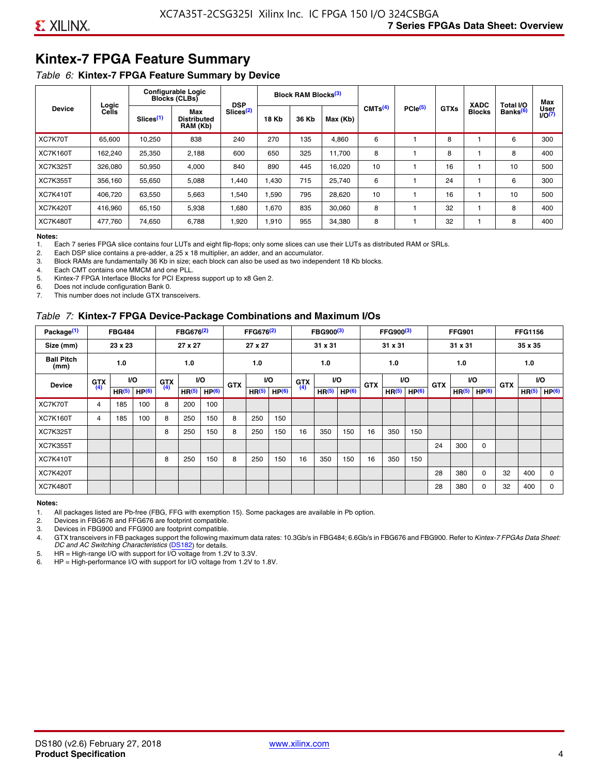# **Kintex-7 FPGA Feature Summary**

#### *Table 6:* **Kintex-7 FPGA Feature Summary by Device**

|                 |                |                       | <b>Configurable Logic</b><br><b>Blocks (CLBs)</b> | <b>DSP</b>            |       | <b>Block RAM Blocks</b> <sup>(3)</sup> |          |                     |              |             | <b>XADC</b>   | Total I/O            | Max               |
|-----------------|----------------|-----------------------|---------------------------------------------------|-----------------------|-------|----------------------------------------|----------|---------------------|--------------|-------------|---------------|----------------------|-------------------|
| <b>Device</b>   | Logic<br>Cells | Slices <sup>(1)</sup> | Max<br><b>Distributed</b><br>RAM (Kb)             | Slices <sup>(2)</sup> | 18 Kb | 36 Kb                                  | Max (Kb) | CMTS <sup>(4)</sup> | $PCle^{(5)}$ | <b>GTXs</b> | <b>Blocks</b> | Banks <sup>(6)</sup> | User<br>$1/0^{7}$ |
| XC7K70T         | 65.600         | 10,250                | 838                                               | 240                   | 270   | 135                                    | 4,860    | 6                   |              | 8           |               | 6                    | 300               |
| <b>XC7K160T</b> | 162,240        | 25,350                | 2,188                                             | 600                   | 650   | 325                                    | 11.700   | 8                   |              | 8           |               | 8                    | 400               |
| <b>XC7K325T</b> | 326,080        | 50,950                | 4,000                                             | 840                   | 890   | 445                                    | 16,020   | 10                  |              | 16          |               | 10                   | 500               |
| <b>XC7K355T</b> | 356.160        | 55,650                | 5,088                                             | 1,440                 | 1.430 | 715                                    | 25,740   | 6                   |              | 24          |               | 6                    | 300               |
| <b>XC7K410T</b> | 406.720        | 63,550                | 5,663                                             | 1,540                 | 1,590 | 795                                    | 28,620   | 10                  |              | 16          |               | 10                   | 500               |
| <b>XC7K420T</b> | 416.960        | 65.150                | 5,938                                             | 1,680                 | 1.670 | 835                                    | 30,060   | 8                   |              | 32          |               | 8                    | 400               |
| <b>XC7K480T</b> | 477.760        | 74,650                | 6,788                                             | 1,920                 | 1,910 | 955                                    | 34,380   | 8                   |              | 32          |               | 8                    | 400               |

#### **Notes:**

1. Each 7 series FPGA slice contains four LUTs and eight flip-flops; only some slices can use their LUTs as distributed RAM or SRLs.<br>2. Each DSP slice contains a pre-adder, a 25 x 18 multiplier, an adder, and an accumulato

Each DSP slice contains a pre-adder, a 25 x 18 multiplier, an adder, and an accumulator.

3. Block RAMs are fundamentally 36 Kb in size; each block can also be used as two independent 18 Kb blocks.

4. Each CMT contains one MMCM and one PLL.

5. Kintex-7 FPGA Interface Blocks for PCI Express support up to x8 Gen 2.

6. Does not include configuration Bank 0.

7. This number does not include GTX transceivers.

#### *Table 7:* **Kintex-7 FPGA Device-Package Combinations and Maximum I/Os**

| Package <sup>(1)</sup>    |            | <b>FBG484</b>     |                   |            | FBG676 <sup>(2)</sup> |                   |            | FFG676 <sup>(2)</sup> |                   |            | FBG900 <sup>(3)</sup> |                   |            | FFG900 <sup>(3)</sup> |                   |            | <b>FFG901</b>     |                   |            | <b>FFG1156</b>    |                   |
|---------------------------|------------|-------------------|-------------------|------------|-----------------------|-------------------|------------|-----------------------|-------------------|------------|-----------------------|-------------------|------------|-----------------------|-------------------|------------|-------------------|-------------------|------------|-------------------|-------------------|
| Size (mm)                 |            | 23 x 23           |                   |            | 27 x 27               |                   |            | 27 x 27               |                   |            | 31 x 31               |                   |            | 31 x 31               |                   |            | 31 x 31           |                   |            | 35 x 35           |                   |
| <b>Ball Pitch</b><br>(mm) |            | 1.0               |                   |            | 1.0                   |                   |            | 1.0                   |                   |            | 1.0                   |                   |            | 1.0                   |                   |            | 1.0               |                   |            | 1.0               |                   |
| <b>Device</b>             | <b>GTX</b> |                   | VO.               | <b>GTX</b> | <b>VO</b>             |                   | <b>GTX</b> |                       | <b>VO</b>         | <b>GTX</b> |                       | <b>VO</b>         | <b>GTX</b> | <b>VO</b>             |                   | <b>GTX</b> |                   | VO                | <b>GTX</b> | <b>VO</b>         |                   |
|                           | (4)        | HR <sup>(5)</sup> | HP <sup>(6)</sup> | (4)        | HR <sup>(5)</sup>     | HP <sup>(6)</sup> |            | HR <sup>(5)</sup>     | HP <sup>(6)</sup> | (4)        | HR <sup>(5)</sup>     | HP <sup>(6)</sup> |            | HR <sup>(5)</sup>     | HP <sup>(6)</sup> |            | HR <sup>(5)</sup> | HP <sup>(6)</sup> |            | HR <sup>(5)</sup> | HP <sup>(6)</sup> |
| XC7K70T                   | 4          | 185               | 100               | 8          | 200                   | 100               |            |                       |                   |            |                       |                   |            |                       |                   |            |                   |                   |            |                   |                   |
| <b>XC7K160T</b>           | 4          | 185               | 100               | 8          | 250                   | 150               | 8          | 250                   | 150               |            |                       |                   |            |                       |                   |            |                   |                   |            |                   |                   |
| <b>XC7K325T</b>           |            |                   |                   | 8          | 250                   | 150               | 8          | 250                   | 150               | 16         | 350                   | 150               | 16         | 350                   | 150               |            |                   |                   |            |                   |                   |
| <b>XC7K355T</b>           |            |                   |                   |            |                       |                   |            |                       |                   |            |                       |                   |            |                       |                   | 24         | 300               | 0                 |            |                   |                   |
| <b>XC7K410T</b>           |            |                   |                   | 8          | 250                   | 150               | 8          | 250                   | 150               | 16         | 350                   | 150               | 16         | 350                   | 150               |            |                   |                   |            |                   |                   |
| <b>XC7K420T</b>           |            |                   |                   |            |                       |                   |            |                       |                   |            |                       |                   |            |                       |                   | 28         | 380               | $\Omega$          | 32         | 400               | $\Omega$          |
| <b>XC7K480T</b>           |            |                   |                   |            |                       |                   |            |                       |                   |            |                       |                   |            |                       |                   | 28         | 380               | 0                 | 32         | 400               | $\Omega$          |

#### **Notes:**

1. All packages listed are Pb-free (FBG, FFG with exemption 15). Some packages are available in Pb option.

2. Devices in FBG676 and FFG676 are footprint compatible.

3. Devices in FBG900 and FFG900 are footprint compatible. 4. GTX transceivers in FB packages support the following maximum data rates: 10.3Gb/s in FBG484; 6.6Gb/s in FBG676 and FBG900. Refer to *Kintex-7 FPGAs Data Sheet: DC and AC Switching Characteristics* [\(DS182](https://www.xilinx.com/support/documentation/data_sheets/ds182_Kintex_7_Data_Sheet.pdf)) for details.

5. HR = High-range I/O with support for I/O voltage from 1.2V to 3.3V.

6. HP = High-performance I/O with support for I/O voltage from 1.2V to 1.8V.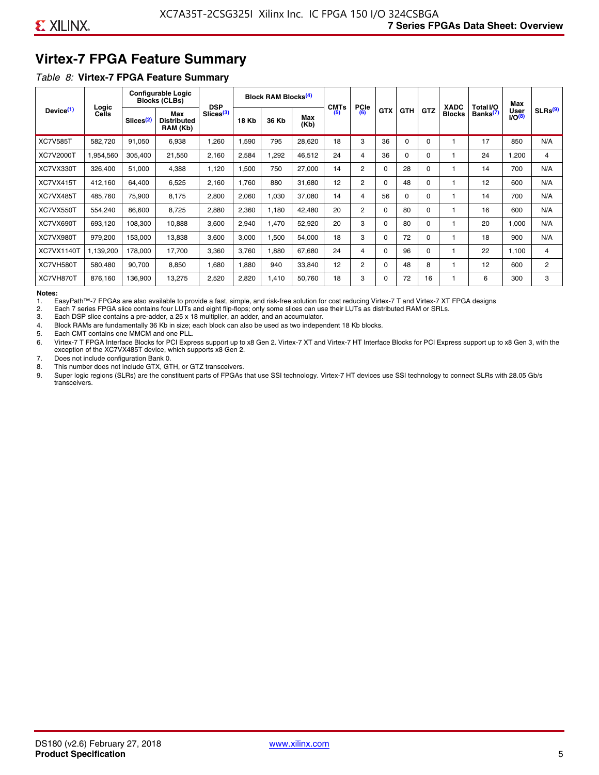# **Virtex-7 FPGA Feature Summary**

#### *Table 8:* **Virtex-7 FPGA Feature Summary**

|                       |                       |                       | <b>Configurable Logic</b><br><b>Blocks (CLBs)</b> | <b>DSP</b>            |       | <b>Block RAM Blocks</b> <sup>(4)</sup> |             | <b>CMTs</b> | <b>PCIe</b>    |            |            |            | <b>XADC</b>   | Total I/O            | Max                        |                     |
|-----------------------|-----------------------|-----------------------|---------------------------------------------------|-----------------------|-------|----------------------------------------|-------------|-------------|----------------|------------|------------|------------|---------------|----------------------|----------------------------|---------------------|
| Device <sup>(1)</sup> | Logic<br><b>Cells</b> | Slices <sup>(2)</sup> | Max<br><b>Distributed</b><br>RAM (Kb)             | Slices <sup>(3)</sup> | 18 Kb | 36 Kb                                  | Max<br>(Kb) | (5)         | (6)            | <b>GTX</b> | <b>GTH</b> | <b>GTZ</b> | <b>Blocks</b> | Banks <sup>(7)</sup> | <b>User</b><br>$1/O^{(8)}$ | SLRs <sup>(9)</sup> |
| <b>XC7V585T</b>       | 582.720               | 91,050                | 6,938                                             | .260                  | ,590  | 795                                    | 28,620      | 18          | 3              | 36         | 0          | $\Omega$   |               | 17                   | 850                        | N/A                 |
| <b>XC7V2000T</b>      | 1,954,560             | 305,400               | 21,550                                            | 2,160                 | 2,584 | ,292                                   | 46,512      | 24          | 4              | 36         | 0          | 0          |               | 24                   | ,200                       | 4                   |
| XC7VX330T             | 326,400               | 51,000                | 4,388                                             | 1,120                 | 1,500 | 750                                    | 27,000      | 14          | $\overline{2}$ | 0          | 28         | O          |               | 14                   | 700                        | N/A                 |
| XC7VX415T             | 412,160               | 64,400                | 6,525                                             | 2,160                 | 1.760 | 880                                    | 31,680      | 12          | $\overline{2}$ | $\Omega$   | 48         | $\Omega$   |               | 12                   | 600                        | N/A                 |
| XC7VX485T             | 485,760               | 75,900                | 8,175                                             | 2,800                 | 2,060 | 1,030                                  | 37,080      | 14          | 4              | 56         | $\Omega$   | 0          |               | 14                   | 700                        | N/A                 |
| XC7VX550T             | 554,240               | 86,600                | 8,725                                             | 2,880                 | 2,360 | 1,180                                  | 42,480      | 20          | $\overline{2}$ | $\Omega$   | 80         | $\Omega$   |               | 16                   | 600                        | N/A                 |
| XC7VX690T             | 693,120               | 108,300               | 10,888                                            | 3,600                 | 2,940 | 1,470                                  | 52,920      | 20          | 3              | 0          | 80         | 0          |               | 20                   | 1,000                      | N/A                 |
| XC7VX980T             | 979,200               | 153,000               | 13,838                                            | 3,600                 | 3,000 | 1,500                                  | 54,000      | 18          | 3              | 0          | 72         | 0          |               | 18                   | 900                        | N/A                 |
| <b>XC7VX1140T</b>     | 1,139,200             | 178,000               | 17.700                                            | 3,360                 | 3,760 | ,880                                   | 67,680      | 24          | 4              | $\Omega$   | 96         | $\Omega$   |               | 22                   | 1.100                      | 4                   |
| XC7VH580T             | 580,480               | 90,700                | 8,850                                             | <b>680</b>            | 1,880 | 940                                    | 33,840      | 12          | $\overline{c}$ | 0          | 48         | 8          |               | 12                   | 600                        | $\overline{c}$      |
| XC7VH870T             | 876,160               | 136,900               | 13,275                                            | 2,520                 | 2,820 | 1,410                                  | 50,760      | 18          | 3              | 0          | 72         | 16         |               | 6                    | 300                        | 3                   |

#### **Notes:**

1. EasyPath™-7 FPGAs are also available to provide a fast, simple, and risk-free solution for cost reducing Virtex-7 T and Virtex-7 XT FPGA designs

2. Each 7 series FPGA slice contains four LUTs and eight flip-flops; only some slices can use their LUTs as distributed RAM or SRLs.

Each DSP slice contains a pre-adder, a 25 x 18 multiplier, an adder, and an accumulator.

4. Block RAMs are fundamentally 36 Kb in size; each block can also be used as two independent 18 Kb blocks.

5. Each CMT contains one MMCM and one PLL.

6. Virtex-7 T FPGA Interface Blocks for PCI Express support up to x8 Gen 2. Virtex-7 XT and Virtex-7 HT Interface Blocks for PCI Express support up to x8 Gen 3, with the exception of the XC7VX485T device, which supports x8 Gen 2.

7. Does not include configuration Bank 0.

8. This number does not include GTX, GTH, or GTZ transceivers.

9. Super logic regions (SLRs) are the constituent parts of FPGAs that use SSI technology. Virtex-7 HT devices use SSI technology to connect SLRs with 28.05 Gb/s transceivers.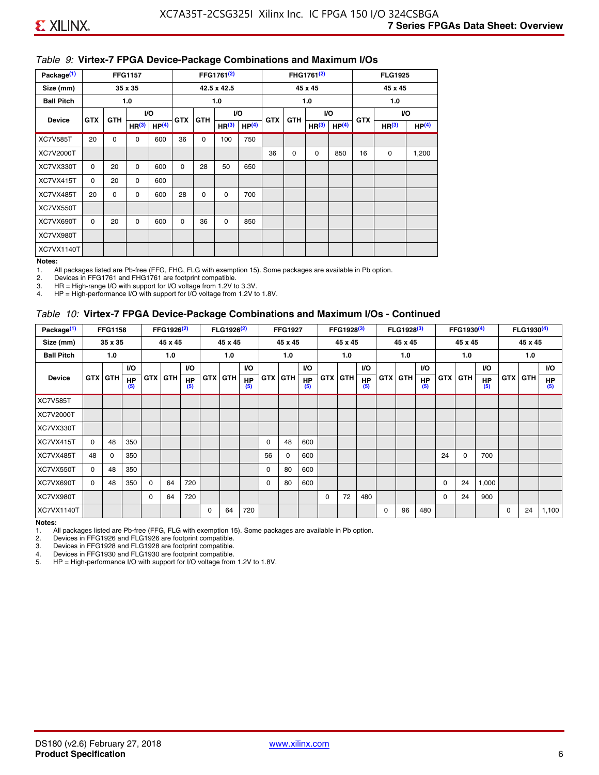#### *Table 9:* **Virtex-7 FPGA Device-Package Combinations and Maximum I/Os**

| Package <sup>(1)</sup> |            |             | <b>FFG1157</b>    |                   |            |            | FFG1761 <sup>(2)</sup> |                   |            |             | FHG1761 <sup>(2)</sup> |                   |            | <b>FLG1925</b>    |                   |
|------------------------|------------|-------------|-------------------|-------------------|------------|------------|------------------------|-------------------|------------|-------------|------------------------|-------------------|------------|-------------------|-------------------|
| Size (mm)              |            |             | 35 x 35           |                   |            |            | 42.5 x 42.5            |                   |            |             | 45 x 45                |                   |            | 45 x 45           |                   |
| <b>Ball Pitch</b>      |            |             | 1.0               |                   |            |            | 1.0                    |                   |            |             | 1.0                    |                   |            | 1.0               |                   |
| <b>Device</b>          | <b>GTX</b> | <b>GTH</b>  |                   | VO.               | <b>GTX</b> | <b>GTH</b> |                        | I/O               | <b>GTX</b> | <b>GTH</b>  |                        | VO.               | <b>GTX</b> |                   | VO.               |
|                        |            |             | HR <sup>(3)</sup> | HP <sup>(4)</sup> |            |            | HR <sup>(3)</sup>      | HP <sup>(4)</sup> |            |             | HR <sup>(3)</sup>      | HP <sup>(4)</sup> |            | HR <sup>(3)</sup> | HP <sup>(4)</sup> |
| <b>XC7V585T</b>        | 20         | $\mathbf 0$ | 0                 | 600               | 36         | 0          | 100                    | 750               |            |             |                        |                   |            |                   |                   |
| XC7V2000T              |            |             |                   |                   |            |            |                        |                   | 36         | $\mathbf 0$ | $\mathbf 0$            | 850               | 16         | 0                 | 1,200             |
| XC7VX330T              | $\Omega$   | 20          | $\Omega$          | 600               | $\Omega$   | 28         | 50                     | 650               |            |             |                        |                   |            |                   |                   |
| XC7VX415T              | $\Omega$   | 20          | $\Omega$          | 600               |            |            |                        |                   |            |             |                        |                   |            |                   |                   |
| XC7VX485T              | 20         | 0           | 0                 | 600               | 28         | 0          | 0                      | 700               |            |             |                        |                   |            |                   |                   |
| XC7VX550T              |            |             |                   |                   |            |            |                        |                   |            |             |                        |                   |            |                   |                   |
| XC7VX690T              | $\Omega$   | 20          | $\Omega$          | 600               | $\Omega$   | 36         | 0                      | 850               |            |             |                        |                   |            |                   |                   |
| XC7VX980T              |            |             |                   |                   |            |            |                        |                   |            |             |                        |                   |            |                   |                   |
| XC7VX1140T             |            |             |                   |                   |            |            |                        |                   |            |             |                        |                   |            |                   |                   |

#### **Notes:**

1. All packages listed are Pb-free (FFG, FHG, FLG with exemption 15). Some packages are available in Pb option.

2. Devices in FFG1761 and FHG1761 are footprint compatible.<br>3. HR = High-range I/O with support for I/O voltage from 1.2V to

HR = High-range I/O with support for I/O voltage from 1.2V to 3.3V.

4. HP = High-performance I/O with support for I/O voltage from 1.2V to 1.8V.

#### *Table 10:* **Virtex-7 FPGA Device-Package Combinations and Maximum I/Os - Continued**

| Package <sup>(1)</sup> |          | <b>FFG1158</b> |                  |            | FFG1926 <sup>(2)</sup> |                  |            | FLG1926 <sup>(2)</sup> |                  |    | <b>FFG1927</b> |                  |            | FFG1928 <sup>(3)</sup> |                  |            | FLG1928 <sup>(3)</sup> |                  |            | FFG1930 <sup>(4)</sup> |           |            | FLG1930 <sup>(4)</sup> |                  |
|------------------------|----------|----------------|------------------|------------|------------------------|------------------|------------|------------------------|------------------|----|----------------|------------------|------------|------------------------|------------------|------------|------------------------|------------------|------------|------------------------|-----------|------------|------------------------|------------------|
| Size (mm)              |          | 35 x 35        |                  |            | 45 x 45                |                  |            | 45 x 45                |                  |    | 45 x 45        |                  |            | 45 x 45                |                  |            | 45 x 45                |                  |            | 45 x 45                |           |            | 45 x 45                |                  |
| <b>Ball Pitch</b>      |          | 1.0            |                  |            | 1.0                    |                  |            | 1.0                    |                  |    | 1.0            |                  |            | 1.0                    |                  |            | 1.0                    |                  |            | 1.0                    |           |            | 1.0                    |                  |
|                        |          |                | <b>VO</b>        |            |                        | <b>VO</b>        |            |                        | <b>VO</b>        |    |                | <b>VO</b>        |            |                        | <b>VO</b>        |            |                        | <b>VO</b>        |            |                        | <b>VO</b> |            |                        | <b>VO</b>        |
| <b>Device</b>          |          | <b>GTX GTH</b> | <b>HP</b><br>(5) | <b>GTX</b> | <b>GTH</b>             | <b>HP</b><br>(5) | <b>GTX</b> | <b>GTH</b>             | <b>HP</b><br>(5) |    | <b>GTX GTH</b> | <b>HP</b><br>(5) | <b>GTX</b> | <b>GTH</b>             | <b>HP</b><br>(5) | <b>GTX</b> | <b>GTH</b>             | <b>HP</b><br>(5) | <b>GTX</b> | GTH                    | HP<br>(5) | <b>GTX</b> | GTH                    | <b>HP</b><br>(5) |
| <b>XC7V585T</b>        |          |                |                  |            |                        |                  |            |                        |                  |    |                |                  |            |                        |                  |            |                        |                  |            |                        |           |            |                        |                  |
| <b>XC7V2000T</b>       |          |                |                  |            |                        |                  |            |                        |                  |    |                |                  |            |                        |                  |            |                        |                  |            |                        |           |            |                        |                  |
| XC7VX330T              |          |                |                  |            |                        |                  |            |                        |                  |    |                |                  |            |                        |                  |            |                        |                  |            |                        |           |            |                        |                  |
| XC7VX415T              | $\Omega$ | 48             | 350              |            |                        |                  |            |                        |                  | 0  | 48             | 600              |            |                        |                  |            |                        |                  |            |                        |           |            |                        |                  |
| XC7VX485T              | 48       | $\Omega$       | 350              |            |                        |                  |            |                        |                  | 56 | 0              | 600              |            |                        |                  |            |                        |                  | 24         | $\Omega$               | 700       |            |                        |                  |
| XC7VX550T              | $\Omega$ | 48             | 350              |            |                        |                  |            |                        |                  | 0  | 80             | 600              |            |                        |                  |            |                        |                  |            |                        |           |            |                        |                  |
| XC7VX690T              | $\Omega$ | 48             | 350              | $\Omega$   | 64                     | 720              |            |                        |                  | 0  | 80             | 600              |            |                        |                  |            |                        |                  | 0          | 24                     | 1,000     |            |                        |                  |
| XC7VX980T              |          |                |                  | $\Omega$   | 64                     | 720              |            |                        |                  |    |                |                  | $\Omega$   | 72                     | 480              |            |                        |                  | 0          | 24                     | 900       |            |                        |                  |
| <b>XC7VX1140T</b>      |          |                |                  |            |                        |                  | $\Omega$   | 64                     | 720              |    |                |                  |            |                        |                  | $\Omega$   | 96                     | 480              |            |                        |           | $\Omega$   | 24                     | 1,100            |

**Notes:** 

1. All packages listed are Pb-free (FFG, FLG with exemption 15). Some packages are available in Pb option.<br>2. Devices in FFG1926 and FLG1926 are footprint compatible.

2. Devices in FFG1926 and FLG1926 are footprint compatible.

3. Devices in FFG1928 and FLG1928 are footprint compatible.

4. Devices in FFG1930 and FLG1930 are footprint compatible.<br>5. HP = High-performance I/O with support for I/O voltage from HP = High-performance I/O with support for I/O voltage from 1.2V to 1.8V.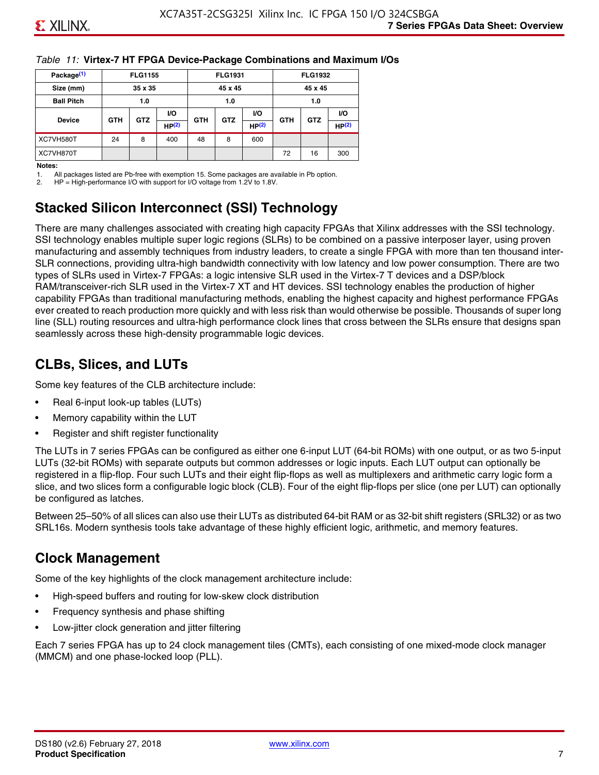#### *Table 11:* **Virtex-7 HT FPGA Device-Package Combinations and Maximum I/Os**

| Package <sup>(1)</sup> |            | <b>FLG1155</b> |       |            | <b>FLG1931</b> |       |            | <b>FLG1932</b> |                   |
|------------------------|------------|----------------|-------|------------|----------------|-------|------------|----------------|-------------------|
| Size (mm)              |            | 35 x 35        |       |            | 45 x 45        |       |            | 45 x 45        |                   |
| <b>Ball Pitch</b>      |            | 1.0            |       |            | 1.0            |       |            | 1.0            |                   |
|                        |            |                | VO.   |            | <b>VO</b>      |       |            |                | VO.               |
| <b>Device</b>          | <b>GTH</b> | <b>GTZ</b>     | HP(2) | <b>GTH</b> | <b>GTZ</b>     | HP(2) | <b>GTH</b> | <b>GTZ</b>     | HP <sup>(2)</sup> |
| XC7VH580T              | 24         | 8              | 400   | 48         | 8              | 600   |            |                |                   |
| XC7VH870T              |            |                |       |            |                |       | 72         | 16             | 300               |

#### **Notes:**

1. All packages listed are Pb-free with exemption 15. Some packages are available in Pb option.

2. HP = High-performance I/O with support for I/O voltage from 1.2V to 1.8V.

# **Stacked Silicon Interconnect (SSI) Technology**

There are many challenges associated with creating high capacity FPGAs that Xilinx addresses with the SSI technology. SSI technology enables multiple super logic regions (SLRs) to be combined on a passive interposer layer, using proven manufacturing and assembly techniques from industry leaders, to create a single FPGA with more than ten thousand inter-SLR connections, providing ultra-high bandwidth connectivity with low latency and low power consumption. There are two types of SLRs used in Virtex-7 FPGAs: a logic intensive SLR used in the Virtex-7 T devices and a DSP/block RAM/transceiver-rich SLR used in the Virtex-7 XT and HT devices. SSI technology enables the production of higher capability FPGAs than traditional manufacturing methods, enabling the highest capacity and highest performance FPGAs ever created to reach production more quickly and with less risk than would otherwise be possible. Thousands of super long line (SLL) routing resources and ultra-high performance clock lines that cross between the SLRs ensure that designs span seamlessly across these high-density programmable logic devices.

# **CLBs, Slices, and LUTs**

Some key features of the CLB architecture include:

- Real 6-input look-up tables (LUTs)
- Memory capability within the LUT
- Register and shift register functionality

The LUTs in 7 series FPGAs can be configured as either one 6-input LUT (64-bit ROMs) with one output, or as two 5-input LUTs (32-bit ROMs) with separate outputs but common addresses or logic inputs. Each LUT output can optionally be registered in a flip-flop. Four such LUTs and their eight flip-flops as well as multiplexers and arithmetic carry logic form a slice, and two slices form a configurable logic block (CLB). Four of the eight flip-flops per slice (one per LUT) can optionally be configured as latches.

Between 25–50% of all slices can also use their LUTs as distributed 64-bit RAM or as 32-bit shift registers (SRL32) or as two SRL16s. Modern synthesis tools take advantage of these highly efficient logic, arithmetic, and memory features.

# **Clock Management**

Some of the key highlights of the clock management architecture include:

- High-speed buffers and routing for low-skew clock distribution
- Frequency synthesis and phase shifting
- Low-jitter clock generation and jitter filtering

Each 7 series FPGA has up to 24 clock management tiles (CMTs), each consisting of one mixed-mode clock manager (MMCM) and one phase-locked loop (PLL).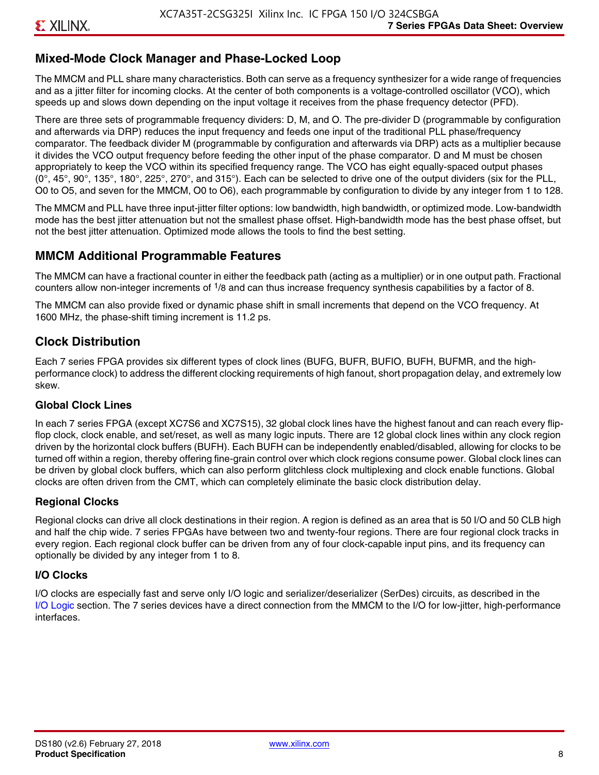## **Mixed-Mode Clock Manager and Phase-Locked Loop**

The MMCM and PLL share many characteristics. Both can serve as a frequency synthesizer for a wide range of frequencies and as a jitter filter for incoming clocks. At the center of both components is a voltage-controlled oscillator (VCO), which speeds up and slows down depending on the input voltage it receives from the phase frequency detector (PFD).

There are three sets of programmable frequency dividers: D, M, and O. The pre-divider D (programmable by configuration and afterwards via DRP) reduces the input frequency and feeds one input of the traditional PLL phase/frequency comparator. The feedback divider M (programmable by configuration and afterwards via DRP) acts as a multiplier because it divides the VCO output frequency before feeding the other input of the phase comparator. D and M must be chosen appropriately to keep the VCO within its specified frequency range. The VCO has eight equally-spaced output phases  $(0^\circ, 45^\circ, 90^\circ, 135^\circ, 180^\circ, 225^\circ, 270^\circ,$  and  $315^\circ$ ). Each can be selected to drive one of the output dividers (six for the PLL, O0 to O5, and seven for the MMCM, O0 to O6), each programmable by configuration to divide by any integer from 1 to 128.

The MMCM and PLL have three input-jitter filter options: low bandwidth, high bandwidth, or optimized mode. Low-bandwidth mode has the best jitter attenuation but not the smallest phase offset. High-bandwidth mode has the best phase offset, but not the best jitter attenuation. Optimized mode allows the tools to find the best setting.

#### **MMCM Additional Programmable Features**

The MMCM can have a fractional counter in either the feedback path (acting as a multiplier) or in one output path. Fractional counters allow non-integer increments of  $1/8$  and can thus increase frequency synthesis capabilities by a factor of 8.

The MMCM can also provide fixed or dynamic phase shift in small increments that depend on the VCO frequency. At 1600 MHz, the phase-shift timing increment is 11.2 ps.

#### **Clock Distribution**

Each 7 series FPGA provides six different types of clock lines (BUFG, BUFR, BUFIO, BUFH, BUFMR, and the highperformance clock) to address the different clocking requirements of high fanout, short propagation delay, and extremely low skew.

#### **Global Clock Lines**

In each 7 series FPGA (except XC7S6 and XC7S15), 32 global clock lines have the highest fanout and can reach every flipflop clock, clock enable, and set/reset, as well as many logic inputs. There are 12 global clock lines within any clock region driven by the horizontal clock buffers (BUFH). Each BUFH can be independently enabled/disabled, allowing for clocks to be turned off within a region, thereby offering fine-grain control over which clock regions consume power. Global clock lines can be driven by global clock buffers, which can also perform glitchless clock multiplexing and clock enable functions. Global clocks are often driven from the CMT, which can completely eliminate the basic clock distribution delay.

#### **Regional Clocks**

Regional clocks can drive all clock destinations in their region. A region is defined as an area that is 50 I/O and 50 CLB high and half the chip wide. 7 series FPGAs have between two and twenty-four regions. There are four regional clock tracks in every region. Each regional clock buffer can be driven from any of four clock-capable input pins, and its frequency can optionally be divided by any integer from 1 to 8.

#### **I/O Clocks**

I/O clocks are especially fast and serve only I/O logic and serializer/deserializer (SerDes) circuits, as described in the I/O Logic section. The 7 series devices have a direct connection from the MMCM to the I/O for low-jitter, high-performance interfaces.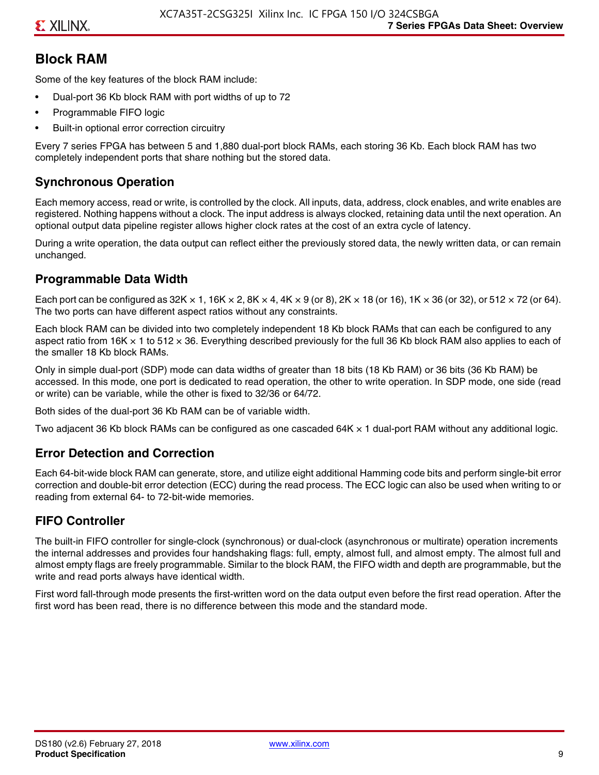# **Block RAM**

Some of the key features of the block RAM include:

- Dual-port 36 Kb block RAM with port widths of up to 72
- Programmable FIFO logic
- Built-in optional error correction circuitry

Every 7 series FPGA has between 5 and 1,880 dual-port block RAMs, each storing 36 Kb. Each block RAM has two completely independent ports that share nothing but the stored data.

# **Synchronous Operation**

Each memory access, read or write, is controlled by the clock. All inputs, data, address, clock enables, and write enables are registered. Nothing happens without a clock. The input address is always clocked, retaining data until the next operation. An optional output data pipeline register allows higher clock rates at the cost of an extra cycle of latency.

During a write operation, the data output can reflect either the previously stored data, the newly written data, or can remain unchanged.

#### **Programmable Data Width**

Each port can be configured as 32K  $\times$  1, 16K  $\times$  2, 8K  $\times$  4, 4K  $\times$  9 (or 8), 2K  $\times$  18 (or 16), 1K  $\times$  36 (or 32), or 512  $\times$  72 (or 64). The two ports can have different aspect ratios without any constraints.

Each block RAM can be divided into two completely independent 18 Kb block RAMs that can each be configured to any aspect ratio from 16K  $\times$  1 to 512  $\times$  36. Everything described previously for the full 36 Kb block RAM also applies to each of the smaller 18 Kb block RAMs.

Only in simple dual-port (SDP) mode can data widths of greater than 18 bits (18 Kb RAM) or 36 bits (36 Kb RAM) be accessed. In this mode, one port is dedicated to read operation, the other to write operation. In SDP mode, one side (read or write) can be variable, while the other is fixed to 32/36 or 64/72.

Both sides of the dual-port 36 Kb RAM can be of variable width.

Two adjacent 36 Kb block RAMs can be configured as one cascaded 64K × 1 dual-port RAM without any additional logic.

#### **Error Detection and Correction**

Each 64-bit-wide block RAM can generate, store, and utilize eight additional Hamming code bits and perform single-bit error correction and double-bit error detection (ECC) during the read process. The ECC logic can also be used when writing to or reading from external 64- to 72-bit-wide memories.

## **FIFO Controller**

The built-in FIFO controller for single-clock (synchronous) or dual-clock (asynchronous or multirate) operation increments the internal addresses and provides four handshaking flags: full, empty, almost full, and almost empty. The almost full and almost empty flags are freely programmable. Similar to the block RAM, the FIFO width and depth are programmable, but the write and read ports always have identical width.

First word fall-through mode presents the first-written word on the data output even before the first read operation. After the first word has been read, there is no difference between this mode and the standard mode.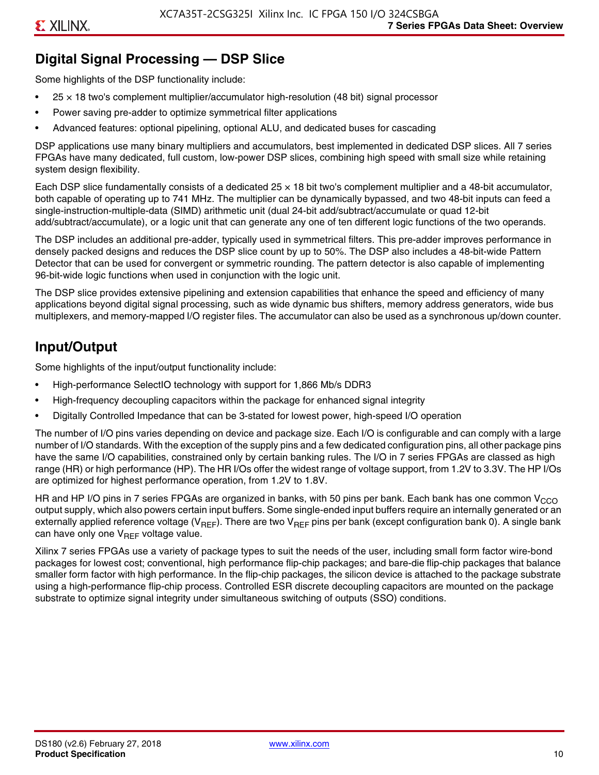# **Digital Signal Processing — DSP Slice**

Some highlights of the DSP functionality include:

- $25 \times 18$  two's complement multiplier/accumulator high-resolution (48 bit) signal processor
- Power saving pre-adder to optimize symmetrical filter applications
- Advanced features: optional pipelining, optional ALU, and dedicated buses for cascading

DSP applications use many binary multipliers and accumulators, best implemented in dedicated DSP slices. All 7 series FPGAs have many dedicated, full custom, low-power DSP slices, combining high speed with small size while retaining system design flexibility.

Each DSP slice fundamentally consists of a dedicated 25 × 18 bit two's complement multiplier and a 48-bit accumulator, both capable of operating up to 741 MHz. The multiplier can be dynamically bypassed, and two 48-bit inputs can feed a single-instruction-multiple-data (SIMD) arithmetic unit (dual 24-bit add/subtract/accumulate or quad 12-bit add/subtract/accumulate), or a logic unit that can generate any one of ten different logic functions of the two operands.

The DSP includes an additional pre-adder, typically used in symmetrical filters. This pre-adder improves performance in densely packed designs and reduces the DSP slice count by up to 50%. The DSP also includes a 48-bit-wide Pattern Detector that can be used for convergent or symmetric rounding. The pattern detector is also capable of implementing 96-bit-wide logic functions when used in conjunction with the logic unit.

The DSP slice provides extensive pipelining and extension capabilities that enhance the speed and efficiency of many applications beyond digital signal processing, such as wide dynamic bus shifters, memory address generators, wide bus multiplexers, and memory-mapped I/O register files. The accumulator can also be used as a synchronous up/down counter.

# **Input/Output**

Some highlights of the input/output functionality include:

- High-performance SelectIO technology with support for 1,866 Mb/s DDR3
- High-frequency decoupling capacitors within the package for enhanced signal integrity
- Digitally Controlled Impedance that can be 3-stated for lowest power, high-speed I/O operation

The number of I/O pins varies depending on device and package size. Each I/O is configurable and can comply with a large number of I/O standards. With the exception of the supply pins and a few dedicated configuration pins, all other package pins have the same I/O capabilities, constrained only by certain banking rules. The I/O in 7 series FPGAs are classed as high range (HR) or high performance (HP). The HR I/Os offer the widest range of voltage support, from 1.2V to 3.3V. The HP I/Os are optimized for highest performance operation, from 1.2V to 1.8V.

HR and HP I/O pins in 7 series FPGAs are organized in banks, with 50 pins per bank. Each bank has one common V<sub>CCO</sub> output supply, which also powers certain input buffers. Some single-ended input buffers require an internally generated or an externally applied reference voltage ( $V_{RFF}$ ). There are two  $V_{RFF}$  pins per bank (except configuration bank 0). A single bank can have only one  $V_{\text{RFF}}$  voltage value.

Xilinx 7 series FPGAs use a variety of package types to suit the needs of the user, including small form factor wire-bond packages for lowest cost; conventional, high performance flip-chip packages; and bare-die flip-chip packages that balance smaller form factor with high performance. In the flip-chip packages, the silicon device is attached to the package substrate using a high-performance flip-chip process. Controlled ESR discrete decoupling capacitors are mounted on the package substrate to optimize signal integrity under simultaneous switching of outputs (SSO) conditions.

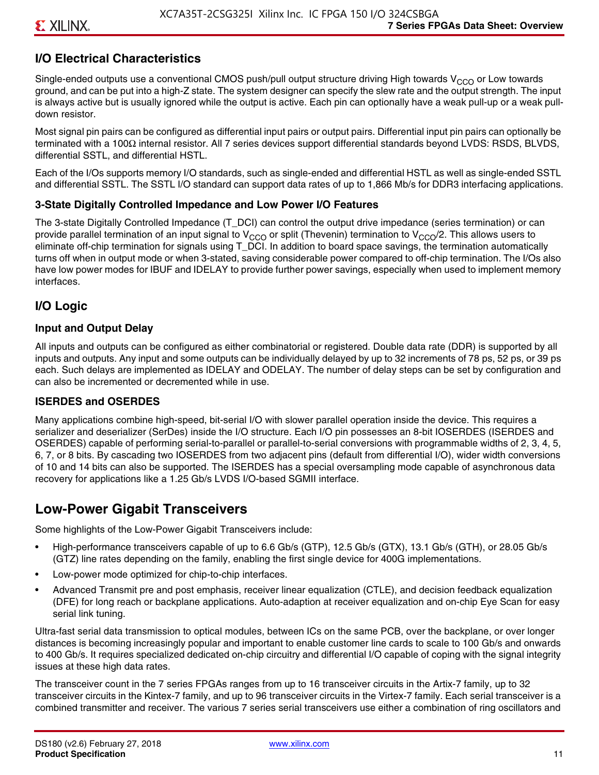# **I/O Electrical Characteristics**

Single-ended outputs use a conventional CMOS push/pull output structure driving High towards  $V_{CCO}$  or Low towards ground, and can be put into a high-Z state. The system designer can specify the slew rate and the output strength. The input is always active but is usually ignored while the output is active. Each pin can optionally have a weak pull-up or a weak pulldown resistor.

Most signal pin pairs can be configured as differential input pairs or output pairs. Differential input pin pairs can optionally be terminated with a 100Ω internal resistor. All 7 series devices support differential standards beyond LVDS: RSDS, BLVDS, differential SSTL, and differential HSTL.

Each of the I/Os supports memory I/O standards, such as single-ended and differential HSTL as well as single-ended SSTL and differential SSTL. The SSTL I/O standard can support data rates of up to 1,866 Mb/s for DDR3 interfacing applications.

#### **3-State Digitally Controlled Impedance and Low Power I/O Features**

The 3-state Digitally Controlled Impedance (T\_DCI) can control the output drive impedance (series termination) or can provide parallel termination of an input signal to V<sub>CCO</sub> or split (Thevenin) termination to V<sub>CCO</sub>/2. This allows users to eliminate off-chip termination for signals using T\_DCI. In addition to board space savings, the termination automatically turns off when in output mode or when 3-stated, saving considerable power compared to off-chip termination. The I/Os also have low power modes for IBUF and IDELAY to provide further power savings, especially when used to implement memory interfaces.

#### **I/O Logic**

#### **Input and Output Delay**

All inputs and outputs can be configured as either combinatorial or registered. Double data rate (DDR) is supported by all inputs and outputs. Any input and some outputs can be individually delayed by up to 32 increments of 78 ps, 52 ps, or 39 ps each. Such delays are implemented as IDELAY and ODELAY. The number of delay steps can be set by configuration and can also be incremented or decremented while in use.

#### **ISERDES and OSERDES**

Many applications combine high-speed, bit-serial I/O with slower parallel operation inside the device. This requires a serializer and deserializer (SerDes) inside the I/O structure. Each I/O pin possesses an 8-bit IOSERDES (ISERDES and OSERDES) capable of performing serial-to-parallel or parallel-to-serial conversions with programmable widths of 2, 3, 4, 5, 6, 7, or 8 bits. By cascading two IOSERDES from two adjacent pins (default from differential I/O), wider width conversions of 10 and 14 bits can also be supported. The ISERDES has a special oversampling mode capable of asynchronous data recovery for applications like a 1.25 Gb/s LVDS I/O-based SGMII interface.

# **Low-Power Gigabit Transceivers**

Some highlights of the Low-Power Gigabit Transceivers include:

- High-performance transceivers capable of up to 6.6 Gb/s (GTP), 12.5 Gb/s (GTX), 13.1 Gb/s (GTH), or 28.05 Gb/s (GTZ) line rates depending on the family, enabling the first single device for 400G implementations.
- Low-power mode optimized for chip-to-chip interfaces.
- Advanced Transmit pre and post emphasis, receiver linear equalization (CTLE), and decision feedback equalization (DFE) for long reach or backplane applications. Auto-adaption at receiver equalization and on-chip Eye Scan for easy serial link tuning.

Ultra-fast serial data transmission to optical modules, between ICs on the same PCB, over the backplane, or over longer distances is becoming increasingly popular and important to enable customer line cards to scale to 100 Gb/s and onwards to 400 Gb/s. It requires specialized dedicated on-chip circuitry and differential I/O capable of coping with the signal integrity issues at these high data rates.

The transceiver count in the 7 series FPGAs ranges from up to 16 transceiver circuits in the Artix-7 family, up to 32 transceiver circuits in the Kintex-7 family, and up to 96 transceiver circuits in the Virtex-7 family. Each serial transceiver is a combined transmitter and receiver. The various 7 series serial transceivers use either a combination of ring oscillators and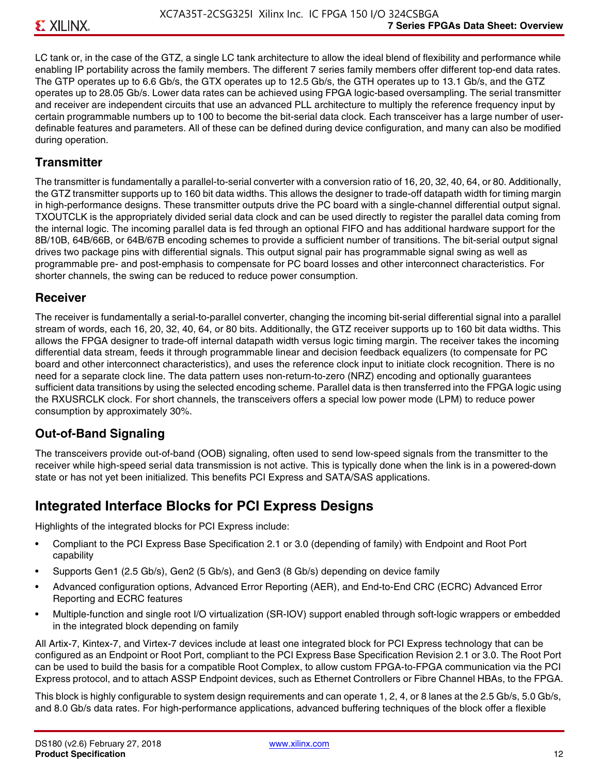LC tank or, in the case of the GTZ, a single LC tank architecture to allow the ideal blend of flexibility and performance while enabling IP portability across the family members. The different 7 series family members offer different top-end data rates. The GTP operates up to 6.6 Gb/s, the GTX operates up to 12.5 Gb/s, the GTH operates up to 13.1 Gb/s, and the GTZ operates up to 28.05 Gb/s. Lower data rates can be achieved using FPGA logic-based oversampling. The serial transmitter and receiver are independent circuits that use an advanced PLL architecture to multiply the reference frequency input by certain programmable numbers up to 100 to become the bit-serial data clock. Each transceiver has a large number of userdefinable features and parameters. All of these can be defined during device configuration, and many can also be modified during operation.

### **Transmitter**

The transmitter is fundamentally a parallel-to-serial converter with a conversion ratio of 16, 20, 32, 40, 64, or 80. Additionally, the GTZ transmitter supports up to 160 bit data widths. This allows the designer to trade-off datapath width for timing margin in high-performance designs. These transmitter outputs drive the PC board with a single-channel differential output signal. TXOUTCLK is the appropriately divided serial data clock and can be used directly to register the parallel data coming from the internal logic. The incoming parallel data is fed through an optional FIFO and has additional hardware support for the 8B/10B, 64B/66B, or 64B/67B encoding schemes to provide a sufficient number of transitions. The bit-serial output signal drives two package pins with differential signals. This output signal pair has programmable signal swing as well as programmable pre- and post-emphasis to compensate for PC board losses and other interconnect characteristics. For shorter channels, the swing can be reduced to reduce power consumption.

#### **Receiver**

The receiver is fundamentally a serial-to-parallel converter, changing the incoming bit-serial differential signal into a parallel stream of words, each 16, 20, 32, 40, 64, or 80 bits. Additionally, the GTZ receiver supports up to 160 bit data widths. This allows the FPGA designer to trade-off internal datapath width versus logic timing margin. The receiver takes the incoming differential data stream, feeds it through programmable linear and decision feedback equalizers (to compensate for PC board and other interconnect characteristics), and uses the reference clock input to initiate clock recognition. There is no need for a separate clock line. The data pattern uses non-return-to-zero (NRZ) encoding and optionally guarantees sufficient data transitions by using the selected encoding scheme. Parallel data is then transferred into the FPGA logic using the RXUSRCLK clock. For short channels, the transceivers offers a special low power mode (LPM) to reduce power consumption by approximately 30%.

## **Out-of-Band Signaling**

The transceivers provide out-of-band (OOB) signaling, often used to send low-speed signals from the transmitter to the receiver while high-speed serial data transmission is not active. This is typically done when the link is in a powered-down state or has not yet been initialized. This benefits PCI Express and SATA/SAS applications.

# **Integrated Interface Blocks for PCI Express Designs**

Highlights of the integrated blocks for PCI Express include:

- Compliant to the PCI Express Base Specification 2.1 or 3.0 (depending of family) with Endpoint and Root Port capability
- Supports Gen1 (2.5 Gb/s), Gen2 (5 Gb/s), and Gen3 (8 Gb/s) depending on device family
- Advanced configuration options, Advanced Error Reporting (AER), and End-to-End CRC (ECRC) Advanced Error Reporting and ECRC features
- Multiple-function and single root I/O virtualization (SR-IOV) support enabled through soft-logic wrappers or embedded in the integrated block depending on family

All Artix-7, Kintex-7, and Virtex-7 devices include at least one integrated block for PCI Express technology that can be configured as an Endpoint or Root Port, compliant to the PCI Express Base Specification Revision 2.1 or 3.0. The Root Port can be used to build the basis for a compatible Root Complex, to allow custom FPGA-to-FPGA communication via the PCI Express protocol, and to attach ASSP Endpoint devices, such as Ethernet Controllers or Fibre Channel HBAs, to the FPGA.

This block is highly configurable to system design requirements and can operate 1, 2, 4, or 8 lanes at the 2.5 Gb/s, 5.0 Gb/s, and 8.0 Gb/s data rates. For high-performance applications, advanced buffering techniques of the block offer a flexible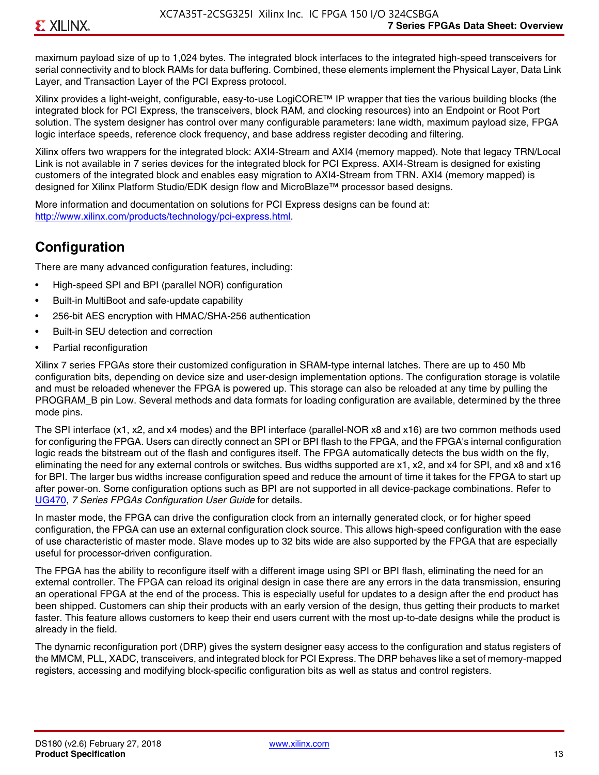maximum payload size of up to 1,024 bytes. The integrated block interfaces to the integrated high-speed transceivers for serial connectivity and to block RAMs for data buffering. Combined, these elements implement the Physical Layer, Data Link Layer, and Transaction Layer of the PCI Express protocol.

Xilinx provides a light-weight, configurable, easy-to-use LogiCORE™ IP wrapper that ties the various building blocks (the integrated block for PCI Express, the transceivers, block RAM, and clocking resources) into an Endpoint or Root Port solution. The system designer has control over many configurable parameters: lane width, maximum payload size, FPGA logic interface speeds, reference clock frequency, and base address register decoding and filtering.

Xilinx offers two wrappers for the integrated block: AXI4-Stream and AXI4 (memory mapped). Note that legacy TRN/Local Link is not available in 7 series devices for the integrated block for PCI Express. AXI4-Stream is designed for existing customers of the integrated block and enables easy migration to AXI4-Stream from TRN. AXI4 (memory mapped) is designed for Xilinx Platform Studio/EDK design flow and MicroBlaze™ processor based designs.

More information and documentation on solutions for PCI Express designs can be found at: <http://www.xilinx.com/products/technology/pci-express.html>.

# **Configuration**

There are many advanced configuration features, including:

- High-speed SPI and BPI (parallel NOR) configuration
- Built-in MultiBoot and safe-update capability
- 256-bit AES encryption with HMAC/SHA-256 authentication
- Built-in SEU detection and correction
- Partial reconfiguration

Xilinx 7 series FPGAs store their customized configuration in SRAM-type internal latches. There are up to 450 Mb configuration bits, depending on device size and user-design implementation options. The configuration storage is volatile and must be reloaded whenever the FPGA is powered up. This storage can also be reloaded at any time by pulling the PROGRAM B pin Low. Several methods and data formats for loading configuration are available, determined by the three mode pins.

The SPI interface (x1, x2, and x4 modes) and the BPI interface (parallel-NOR x8 and x16) are two common methods used for configuring the FPGA. Users can directly connect an SPI or BPI flash to the FPGA, and the FPGA's internal configuration logic reads the bitstream out of the flash and configures itself. The FPGA automatically detects the bus width on the fly, eliminating the need for any external controls or switches. Bus widths supported are x1, x2, and x4 for SPI, and x8 and x16 for BPI. The larger bus widths increase configuration speed and reduce the amount of time it takes for the FPGA to start up after power-on. Some configuration options such as BPI are not supported in all device-package combinations. Refer to [UG470,](http://www.xilinx.com/support/documentation/user_guides/ug470_7Series_Config.pdf) *7 Series FPGAs Configuration User Guide* for details.

In master mode, the FPGA can drive the configuration clock from an internally generated clock, or for higher speed configuration, the FPGA can use an external configuration clock source. This allows high-speed configuration with the ease of use characteristic of master mode. Slave modes up to 32 bits wide are also supported by the FPGA that are especially useful for processor-driven configuration.

The FPGA has the ability to reconfigure itself with a different image using SPI or BPI flash, eliminating the need for an external controller. The FPGA can reload its original design in case there are any errors in the data transmission, ensuring an operational FPGA at the end of the process. This is especially useful for updates to a design after the end product has been shipped. Customers can ship their products with an early version of the design, thus getting their products to market faster. This feature allows customers to keep their end users current with the most up-to-date designs while the product is already in the field.

The dynamic reconfiguration port (DRP) gives the system designer easy access to the configuration and status registers of the MMCM, PLL, XADC, transceivers, and integrated block for PCI Express. The DRP behaves like a set of memory-mapped registers, accessing and modifying block-specific configuration bits as well as status and control registers.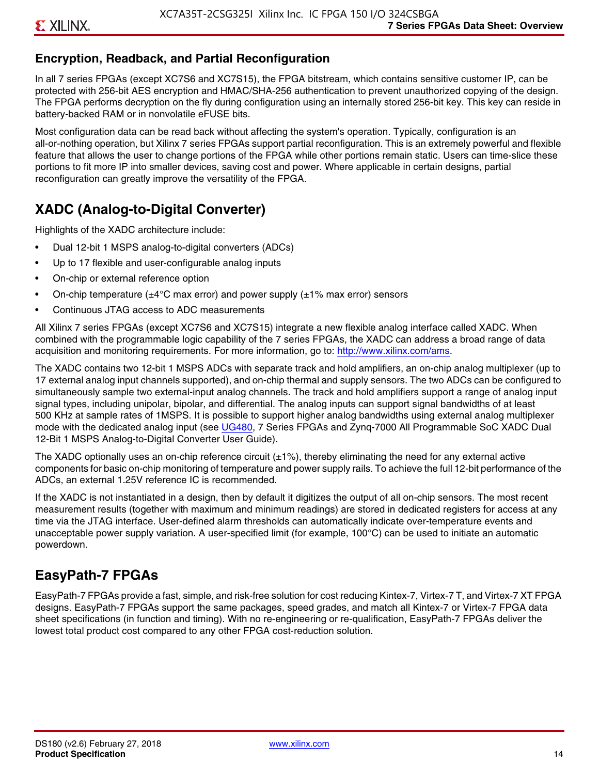# **Encryption, Readback, and Partial Reconfiguration**

In all 7 series FPGAs (except XC7S6 and XC7S15), the FPGA bitstream, which contains sensitive customer IP, can be protected with 256-bit AES encryption and HMAC/SHA-256 authentication to prevent unauthorized copying of the design. The FPGA performs decryption on the fly during configuration using an internally stored 256-bit key. This key can reside in battery-backed RAM or in nonvolatile eFUSE bits.

Most configuration data can be read back without affecting the system's operation. Typically, configuration is an all-or-nothing operation, but Xilinx 7 series FPGAs support partial reconfiguration. This is an extremely powerful and flexible feature that allows the user to change portions of the FPGA while other portions remain static. Users can time-slice these portions to fit more IP into smaller devices, saving cost and power. Where applicable in certain designs, partial reconfiguration can greatly improve the versatility of the FPGA.

# **XADC (Analog-to-Digital Converter)**

Highlights of the XADC architecture include:

- Dual 12-bit 1 MSPS analog-to-digital converters (ADCs)
- Up to 17 flexible and user-configurable analog inputs
- On-chip or external reference option
- On-chip temperature ( $\pm 4^{\circ}$ C max error) and power supply ( $\pm 1\%$  max error) sensors
- Continuous JTAG access to ADC measurements

All Xilinx 7 series FPGAs (except XC7S6 and XC7S15) integrate a new flexible analog interface called XADC. When combined with the programmable logic capability of the 7 series FPGAs, the XADC can address a broad range of data acquisition and monitoring requirements. For more information, go to: [http://www.xilinx.com/ams.](http://www.xilinx.com/ams)

The XADC contains two 12-bit 1 MSPS ADCs with separate track and hold amplifiers, an on-chip analog multiplexer (up to 17 external analog input channels supported), and on-chip thermal and supply sensors. The two ADCs can be configured to simultaneously sample two external-input analog channels. The track and hold amplifiers support a range of analog input signal types, including unipolar, bipolar, and differential. The analog inputs can support signal bandwidths of at least 500 KHz at sample rates of 1MSPS. It is possible to support higher analog bandwidths using external analog multiplexer mode with the dedicated analog input (see [UG480](http://www.xilinx.com/support/documentation/user_guides/ug480_7Series_XADC.pdf), 7 Series FPGAs and Zynq-7000 All Programmable SoC XADC Dual 12-Bit 1 MSPS Analog-to-Digital Converter User Guide)*.*

The XADC optionally uses an on-chip reference circuit  $(\pm 1\%)$ , thereby eliminating the need for any external active components for basic on-chip monitoring of temperature and power supply rails. To achieve the full 12-bit performance of the ADCs, an external 1.25V reference IC is recommended.

If the XADC is not instantiated in a design, then by default it digitizes the output of all on-chip sensors. The most recent measurement results (together with maximum and minimum readings) are stored in dedicated registers for access at any time via the JTAG interface. User-defined alarm thresholds can automatically indicate over-temperature events and unacceptable power supply variation. A user-specified limit (for example, 100°C) can be used to initiate an automatic powerdown.

# **EasyPath-7 FPGAs**

EasyPath-7 FPGAs provide a fast, simple, and risk-free solution for cost reducing Kintex-7, Virtex-7 T, and Virtex-7 XT FPGA designs. EasyPath-7 FPGAs support the same packages, speed grades, and match all Kintex-7 or Virtex-7 FPGA data sheet specifications (in function and timing). With no re-engineering or re-qualification, EasyPath-7 FPGAs deliver the lowest total product cost compared to any other FPGA cost-reduction solution.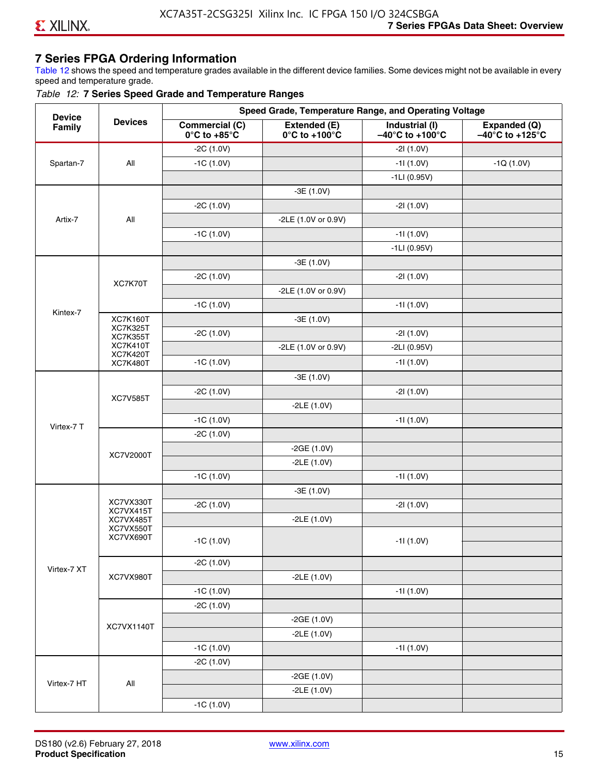# **7 Series FPGA Ordering Information**

Table 12 shows the speed and temperature grades available in the different device families. Some devices might not be available in every speed and temperature grade.

#### *Table 12:* **7 Series Speed Grade and Temperature Ranges**

| <b>Device</b> |                                    |                                                        |                                                    | Speed Grade, Temperature Range, and Operating Voltage  |                                                      |
|---------------|------------------------------------|--------------------------------------------------------|----------------------------------------------------|--------------------------------------------------------|------------------------------------------------------|
| Family        | <b>Devices</b>                     | <b>Commercial (C)</b><br>$0^\circ$ C to +85 $^\circ$ C | Extended (E)<br>$0^{\circ}$ C to +100 $^{\circ}$ C | Industrial (I)<br>$-40^{\circ}$ C to +100 $^{\circ}$ C | Expanded (Q)<br>$-40^{\circ}$ C to +125 $^{\circ}$ C |
|               |                                    | $-2C(1.0V)$                                            |                                                    | $-21(1.0V)$                                            |                                                      |
| Spartan-7     | All                                | $-1C(1.0V)$                                            |                                                    | $-11(1.0V)$                                            | $-1Q(1.0V)$                                          |
|               |                                    |                                                        |                                                    | $-1LI(0.95V)$                                          |                                                      |
|               |                                    |                                                        | $-3E(1.0V)$                                        |                                                        |                                                      |
|               |                                    | $-2C(1.0V)$                                            |                                                    | $-21(1.0V)$                                            |                                                      |
| Artix-7       | All                                |                                                        | -2LE (1.0V or 0.9V)                                |                                                        |                                                      |
|               |                                    | $-1C(1.0V)$                                            |                                                    | $-11(1.0V)$                                            |                                                      |
|               |                                    |                                                        |                                                    | $-1LI(0.95V)$                                          |                                                      |
|               |                                    |                                                        | $-3E(1.0V)$                                        |                                                        |                                                      |
|               |                                    | $-2C(1.0V)$                                            |                                                    | $-21(1.0V)$                                            |                                                      |
|               | XC7K70T                            |                                                        | -2LE (1.0V or 0.9V)                                |                                                        |                                                      |
|               |                                    | $-1C(1.0V)$                                            |                                                    | $-11(1.0V)$                                            |                                                      |
| Kintex-7      | <b>XC7K160T</b>                    |                                                        | $-3E(1.0V)$                                        |                                                        |                                                      |
|               | <b>XC7K325T</b><br><b>XC7K355T</b> | $-2C(1.0V)$                                            |                                                    | $-21(1.0V)$                                            |                                                      |
|               | <b>XC7K410T</b>                    |                                                        | -2LE (1.0V or 0.9V)                                | $-2LI(0.95V)$                                          |                                                      |
|               | <b>XC7K420T</b><br><b>XC7K480T</b> | $-1C(1.0V)$                                            |                                                    | $-11(1.0V)$                                            |                                                      |
|               |                                    |                                                        | $-3E(1.0V)$                                        |                                                        |                                                      |
|               |                                    | $-2C(1.0V)$                                            |                                                    | $-21(1.0V)$                                            |                                                      |
|               | <b>XC7V585T</b>                    |                                                        | $-2LE(1.0V)$                                       |                                                        |                                                      |
|               |                                    | $-1C(1.0V)$                                            |                                                    | $-11(1.0V)$                                            |                                                      |
| Virtex-7 T    |                                    | $-2C(1.0V)$                                            |                                                    |                                                        |                                                      |
|               |                                    |                                                        | $-2GE(1.0V)$                                       |                                                        |                                                      |
|               | XC7V2000T                          |                                                        | $-2LE(1.0V)$                                       |                                                        |                                                      |
|               |                                    | $-1C(1.0V)$                                            |                                                    | $-11(1.0V)$                                            |                                                      |
|               |                                    |                                                        | $-3E(1.0V)$                                        |                                                        |                                                      |
|               | XC7VX330T                          | $-2C(1.0V)$                                            |                                                    | $-21(1.0V)$                                            |                                                      |
|               | XC7VX415T<br>XC7VX485T             |                                                        | $-2LE(1.0V)$                                       |                                                        |                                                      |
|               | XC7VX550T<br>XC7VX690T             |                                                        |                                                    |                                                        |                                                      |
|               |                                    | $-1C(1.0V)$                                            |                                                    | -11 (1.0V)                                             |                                                      |
|               |                                    | $-2C(1.0V)$                                            |                                                    |                                                        |                                                      |
| Virtex-7 XT   | XC7VX980T                          |                                                        | $-2LE(1.0V)$                                       |                                                        |                                                      |
|               |                                    | $-1C(1.0V)$                                            |                                                    | $-11(1.0V)$                                            |                                                      |
|               |                                    | $-2C(1.0V)$                                            |                                                    |                                                        |                                                      |
|               |                                    |                                                        | $-2GE(1.0V)$                                       |                                                        |                                                      |
|               | XC7VX1140T                         |                                                        | $-2LE(1.0V)$                                       |                                                        |                                                      |
|               |                                    | $-1C(1.0V)$                                            |                                                    | $-11(1.0V)$                                            |                                                      |
|               |                                    | $-2C(1.0V)$                                            |                                                    |                                                        |                                                      |
|               |                                    |                                                        | $-2GE(1.0V)$                                       |                                                        |                                                      |
| Virtex-7 HT   | All                                |                                                        | $-2LE(1.0V)$                                       |                                                        |                                                      |
|               |                                    | $-1C(1.0V)$                                            |                                                    |                                                        |                                                      |
|               |                                    |                                                        |                                                    |                                                        |                                                      |

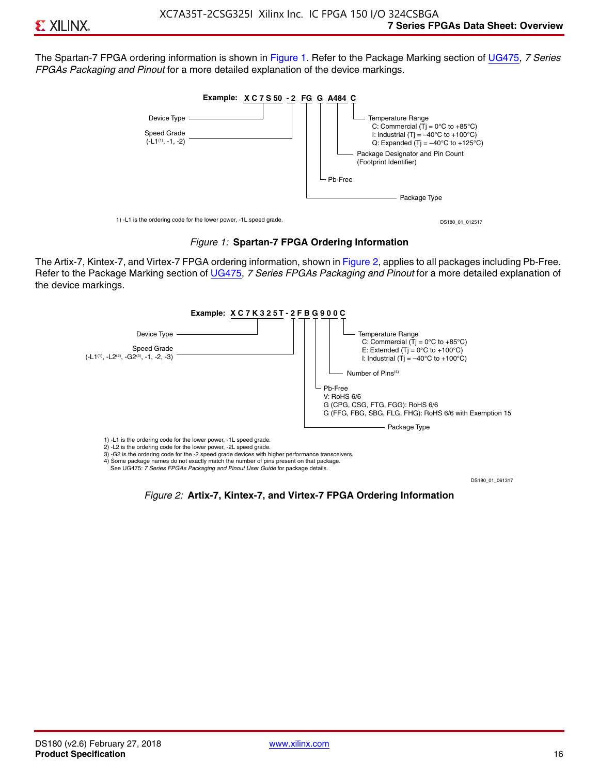The Spartan-7 FPGA ordering information is shown in Figure 1. Refer to the Package Marking section of [UG475,](http://www.xilinx.com/support/documentation/user_guides/ug475_7Series_Pkg_Pinout.pdf) *7 Series FPGAs Packaging and Pinout* for a more detailed explanation of the device markings.





The Artix-7, Kintex-7, and Virtex-7 FPGA ordering information, shown in Figure 2, applies to all packages including Pb-Free. Refer to the Package Marking section of [UG475](http://www.xilinx.com/support/documentation/user_guides/ug475_7Series_Pkg_Pinout.pdf), *7 Series FPGAs Packaging and Pinout* for a more detailed explanation of the device markings.



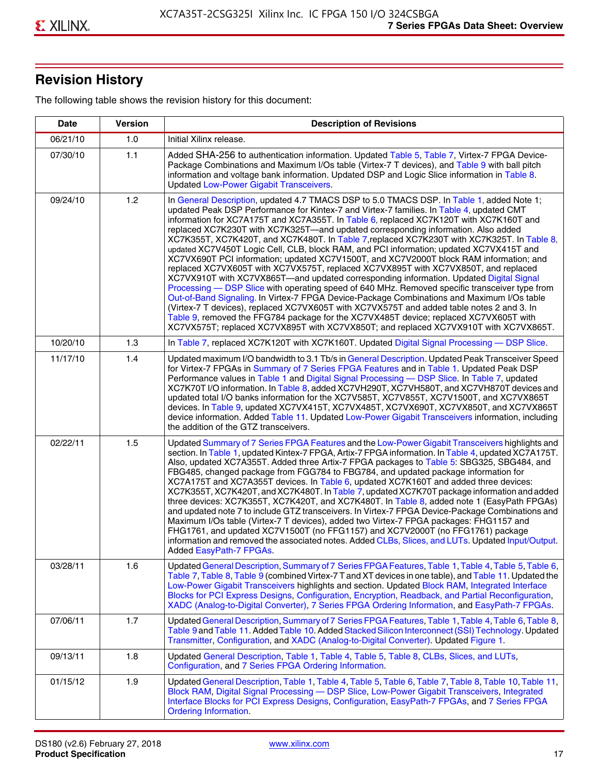# **Revision History**

The following table shows the revision history for this document:

| <b>Date</b> | <b>Version</b> | <b>Description of Revisions</b>                                                                                                                                                                                                                                                                                                                                                                                                                                                                                                                                                                                                                                                                                                                                                                                                                                                                                                                                                                                                                                                                                                                                                                                                                                                                                       |
|-------------|----------------|-----------------------------------------------------------------------------------------------------------------------------------------------------------------------------------------------------------------------------------------------------------------------------------------------------------------------------------------------------------------------------------------------------------------------------------------------------------------------------------------------------------------------------------------------------------------------------------------------------------------------------------------------------------------------------------------------------------------------------------------------------------------------------------------------------------------------------------------------------------------------------------------------------------------------------------------------------------------------------------------------------------------------------------------------------------------------------------------------------------------------------------------------------------------------------------------------------------------------------------------------------------------------------------------------------------------------|
| 06/21/10    | 1.0            | Initial Xilinx release.                                                                                                                                                                                                                                                                                                                                                                                                                                                                                                                                                                                                                                                                                                                                                                                                                                                                                                                                                                                                                                                                                                                                                                                                                                                                                               |
| 07/30/10    | 1.1            | Added SHA-256 to authentication information. Updated Table 5, Table 7, Virtex-7 FPGA Device-<br>Package Combinations and Maximum I/Os table (Virtex-7 T devices), and Table 9 with ball pitch<br>information and voltage bank information. Updated DSP and Logic Slice information in Table 8.<br><b>Updated Low-Power Gigabit Transceivers.</b>                                                                                                                                                                                                                                                                                                                                                                                                                                                                                                                                                                                                                                                                                                                                                                                                                                                                                                                                                                      |
| 09/24/10    | 1.2            | In General Description, updated 4.7 TMACS DSP to 5.0 TMACS DSP. In Table 1, added Note 1;<br>updated Peak DSP Performance for Kintex-7 and Virtex-7 families. In Table 4, updated CMT<br>information for XC7A175T and XC7A355T. In Table 6, replaced XC7K120T with XC7K160T and<br>replaced XC7K230T with XC7K325T-and updated corresponding information. Also added<br>XC7K355T, XC7K420T, and XC7K480T. In Table 7, replaced XC7K230T with XC7K325T. In Table 8,<br>updated XC7V450T Logic Cell, CLB, block RAM, and PCI information; updated XC7VX415T and<br>XC7VX690T PCI information; updated XC7V1500T, and XC7V2000T block RAM information; and<br>replaced XC7VX605T with XC7VX575T, replaced XC7VX895T with XC7VX850T, and replaced<br>XC7VX910T with XC7VX865T-and updated corresponding information. Updated Digital Signal<br>Processing - DSP Slice with operating speed of 640 MHz. Removed specific transceiver type from<br>Out-of-Band Signaling. In Virtex-7 FPGA Device-Package Combinations and Maximum I/Os table<br>(Virtex-7 T devices), replaced XC7VX605T with XC7VX575T and added table notes 2 and 3. In<br>Table 9, removed the FFG784 package for the XC7VX485T device; replaced XC7VX605T with<br>XC7VX575T; replaced XC7VX895T with XC7VX850T; and replaced XC7VX910T with XC7VX865T. |
| 10/20/10    | 1.3            | In Table 7, replaced XC7K120T with XC7K160T. Updated Digital Signal Processing - DSP Slice.                                                                                                                                                                                                                                                                                                                                                                                                                                                                                                                                                                                                                                                                                                                                                                                                                                                                                                                                                                                                                                                                                                                                                                                                                           |
| 11/17/10    | 1.4            | Updated maximum I/O bandwidth to 3.1 Tb/s in General Description. Updated Peak Transceiver Speed<br>for Virtex-7 FPGAs in Summary of 7 Series FPGA Features and in Table 1. Updated Peak DSP<br>Performance values in Table 1 and Digital Signal Processing - DSP Slice. In Table 7, updated<br>XC7K70T I/O information. In Table 8, added XC7VH290T, XC7VH580T, and XC7VH870T devices and<br>updated total I/O banks information for the XC7V585T, XC7V855T, XC7V1500T, and XC7VX865T<br>devices. In Table 9, updated XC7VX415T, XC7VX485T, XC7VX690T, XC7VX850T, and XC7VX865T<br>device information. Added Table 11. Updated Low-Power Gigabit Transceivers information, including<br>the addition of the GTZ transceivers.                                                                                                                                                                                                                                                                                                                                                                                                                                                                                                                                                                                        |
| 02/22/11    | 1.5            | Updated Summary of 7 Series FPGA Features and the Low-Power Gigabit Transceivers highlights and<br>section. In Table 1, updated Kintex-7 FPGA, Artix-7 FPGA information. In Table 4, updated XC7A175T.<br>Also, updated XC7A355T. Added three Artix-7 FPGA packages to Table 5: SBG325, SBG484, and<br>FBG485, changed package from FGG784 to FBG784, and updated package information for<br>XC7A175T and XC7A355T devices. In Table 6, updated XC7K160T and added three devices:<br>XC7K355T, XC7K420T, and XC7K480T. In Table 7, updated XC7K70T package information and added<br>three devices: XC7K355T, XC7K420T, and XC7K480T. In Table 8, added note 1 (EasyPath FPGAs)<br>and updated note 7 to include GTZ transceivers. In Virtex-7 FPGA Device-Package Combinations and<br>Maximum I/Os table (Virtex-7 T devices), added two Virtex-7 FPGA packages: FHG1157 and<br>FHG1761, and updated XC7V1500T (no FFG1157) and XC7V2000T (no FFG1761) package<br>information and removed the associated notes. Added CLBs, Slices, and LUTs. Updated Input/Output.<br>Added EasyPath-7 FPGAs.                                                                                                                                                                                                                        |
| 03/28/11    | 1.6            | Updated General Description, Summary of 7 Series FPGA Features, Table 1, Table 4, Table 5, Table 6,<br>Table 7, Table 8, Table 9 (combined Virtex-7 T and XT devices in one table), and Table 11. Updated the<br>Low-Power Gigabit Transceivers highlights and section. Updated Block RAM, Integrated Interface<br>Blocks for PCI Express Designs, Configuration, Encryption, Readback, and Partial Reconfiguration,<br>XADC (Analog-to-Digital Converter), 7 Series FPGA Ordering Information, and EasyPath-7 FPGAs.                                                                                                                                                                                                                                                                                                                                                                                                                                                                                                                                                                                                                                                                                                                                                                                                 |
| 07/06/11    | 1.7            | Updated General Description, Summary of 7 Series FPGA Features, Table 1, Table 4, Table 6, Table 8,<br>Table 9 and Table 11. Added Table 10. Added Stacked Silicon Interconnect (SSI) Technology. Updated<br>Transmitter, Configuration, and XADC (Analog-to-Digital Converter). Updated Figure 1.                                                                                                                                                                                                                                                                                                                                                                                                                                                                                                                                                                                                                                                                                                                                                                                                                                                                                                                                                                                                                    |
| 09/13/11    | 1.8            | Updated General Description, Table 1, Table 4, Table 5, Table 8, CLBs, Slices, and LUTs,<br>Configuration, and 7 Series FPGA Ordering Information.                                                                                                                                                                                                                                                                                                                                                                                                                                                                                                                                                                                                                                                                                                                                                                                                                                                                                                                                                                                                                                                                                                                                                                    |
| 01/15/12    | 1.9            | Updated General Description, Table 1, Table 4, Table 5, Table 6, Table 7, Table 8, Table 10, Table 11,<br>Block RAM, Digital Signal Processing - DSP Slice, Low-Power Gigabit Transceivers, Integrated<br>Interface Blocks for PCI Express Designs, Configuration, EasyPath-7 FPGAs, and 7 Series FPGA<br><b>Ordering Information.</b>                                                                                                                                                                                                                                                                                                                                                                                                                                                                                                                                                                                                                                                                                                                                                                                                                                                                                                                                                                                |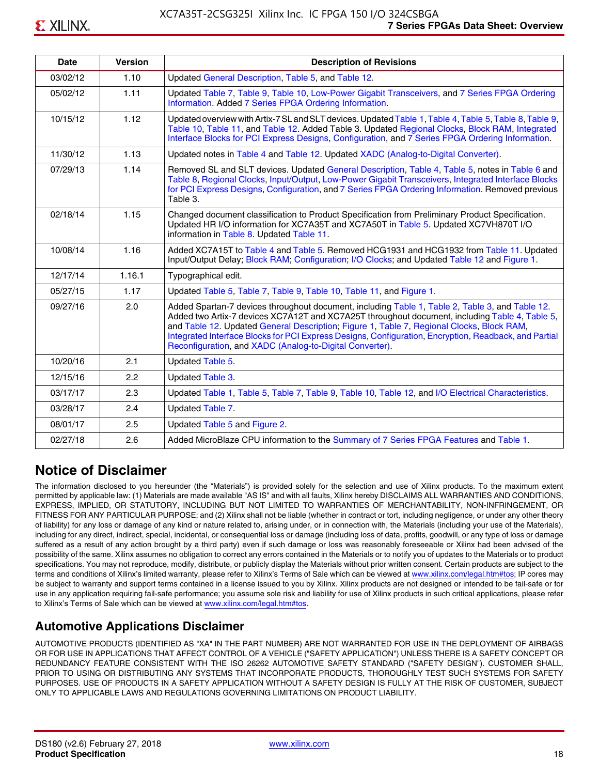| <b>Date</b> | <b>Version</b> | <b>Description of Revisions</b>                                                                                                                                                                                                                                                                                                                                                                                                                                     |
|-------------|----------------|---------------------------------------------------------------------------------------------------------------------------------------------------------------------------------------------------------------------------------------------------------------------------------------------------------------------------------------------------------------------------------------------------------------------------------------------------------------------|
| 03/02/12    | 1.10           | Updated General Description, Table 5, and Table 12.                                                                                                                                                                                                                                                                                                                                                                                                                 |
| 05/02/12    | 1.11           | Updated Table 7, Table 9, Table 10, Low-Power Gigabit Transceivers, and 7 Series FPGA Ordering<br>Information. Added 7 Series FPGA Ordering Information.                                                                                                                                                                                                                                                                                                            |
| 10/15/12    | 1.12           | Updated overview with Artix-7 SL and SLT devices. Updated Table 1, Table 4, Table 5, Table 8, Table 9,<br>Table 10, Table 11, and Table 12. Added Table 3. Updated Regional Clocks, Block RAM, Integrated<br>Interface Blocks for PCI Express Designs, Configuration, and 7 Series FPGA Ordering Information.                                                                                                                                                       |
| 11/30/12    | 1.13           | Updated notes in Table 4 and Table 12. Updated XADC (Analog-to-Digital Converter).                                                                                                                                                                                                                                                                                                                                                                                  |
| 07/29/13    | 1.14           | Removed SL and SLT devices. Updated General Description, Table 4, Table 5, notes in Table 6 and<br>Table 8, Regional Clocks, Input/Output, Low-Power Gigabit Transceivers, Integrated Interface Blocks<br>for PCI Express Designs, Configuration, and 7 Series FPGA Ordering Information. Removed previous<br>Table 3.                                                                                                                                              |
| 02/18/14    | 1.15           | Changed document classification to Product Specification from Preliminary Product Specification.<br>Updated HR I/O information for XC7A35T and XC7A50T in Table 5. Updated XC7VH870T I/O<br>information in Table 8. Updated Table 11.                                                                                                                                                                                                                               |
| 10/08/14    | 1.16           | Added XC7A15T to Table 4 and Table 5. Removed HCG1931 and HCG1932 from Table 11. Updated<br>Input/Output Delay; Block RAM; Configuration; I/O Clocks; and Updated Table 12 and Figure 1.                                                                                                                                                                                                                                                                            |
| 12/17/14    | 1.16.1         | Typographical edit.                                                                                                                                                                                                                                                                                                                                                                                                                                                 |
| 05/27/15    | 1.17           | Updated Table 5, Table 7, Table 9, Table 10, Table 11, and Figure 1.                                                                                                                                                                                                                                                                                                                                                                                                |
| 09/27/16    | 2.0            | Added Spartan-7 devices throughout document, including Table 1, Table 2, Table 3, and Table 12.<br>Added two Artix-7 devices XC7A12T and XC7A25T throughout document, including Table 4, Table 5,<br>and Table 12. Updated General Description; Figure 1, Table 7, Regional Clocks, Block RAM,<br>Integrated Interface Blocks for PCI Express Designs, Configuration, Encryption, Readback, and Partial<br>Reconfiguration, and XADC (Analog-to-Digital Converter). |
| 10/20/16    | 2.1            | Updated Table 5.                                                                                                                                                                                                                                                                                                                                                                                                                                                    |
| 12/15/16    | 2.2            | Updated Table 3.                                                                                                                                                                                                                                                                                                                                                                                                                                                    |
| 03/17/17    | 2.3            | Updated Table 1, Table 5, Table 7, Table 9, Table 10, Table 12, and I/O Electrical Characteristics.                                                                                                                                                                                                                                                                                                                                                                 |
| 03/28/17    | 2.4            | Updated Table 7.                                                                                                                                                                                                                                                                                                                                                                                                                                                    |
| 08/01/17    | 2.5            | Updated Table 5 and Figure 2.                                                                                                                                                                                                                                                                                                                                                                                                                                       |
| 02/27/18    | 2.6            | Added MicroBlaze CPU information to the Summary of 7 Series FPGA Features and Table 1.                                                                                                                                                                                                                                                                                                                                                                              |

# **Notice of Disclaimer**

The information disclosed to you hereunder (the "Materials") is provided solely for the selection and use of Xilinx products. To the maximum extent permitted by applicable law: (1) Materials are made available "AS IS" and with all faults, Xilinx hereby DISCLAIMS ALL WARRANTIES AND CONDITIONS, EXPRESS, IMPLIED, OR STATUTORY, INCLUDING BUT NOT LIMITED TO WARRANTIES OF MERCHANTABILITY, NON-INFRINGEMENT, OR FITNESS FOR ANY PARTICULAR PURPOSE; and (2) Xilinx shall not be liable (whether in contract or tort, including negligence, or under any other theory of liability) for any loss or damage of any kind or nature related to, arising under, or in connection with, the Materials (including your use of the Materials), including for any direct, indirect, special, incidental, or consequential loss or damage (including loss of data, profits, goodwill, or any type of loss or damage suffered as a result of any action brought by a third party) even if such damage or loss was reasonably foreseeable or Xilinx had been advised of the possibility of the same. Xilinx assumes no obligation to correct any errors contained in the Materials or to notify you of updates to the Materials or to product specifications. You may not reproduce, modify, distribute, or publicly display the Materials without prior written consent. Certain products are subject to the terms and conditions of Xilinx's limited warranty, please refer to Xilinx's Terms of Sale which can be viewed at [www.xilinx.com/legal.htm#tos;](www.xilinx.com/legal.htm#tos) IP cores may be subject to warranty and support terms contained in a license issued to you by Xilinx. Xilinx products are not designed or intended to be fail-safe or for use in any application requiring fail-safe performance; you assume sole risk and liability for use of Xilinx products in such critical applications, please refer to Xilinx's Terms of Sale which can be viewed at <www.xilinx.com/legal.htm#tos>.

# **Automotive Applications Disclaimer**

AUTOMOTIVE PRODUCTS (IDENTIFIED AS "XA" IN THE PART NUMBER) ARE NOT WARRANTED FOR USE IN THE DEPLOYMENT OF AIRBAGS OR FOR USE IN APPLICATIONS THAT AFFECT CONTROL OF A VEHICLE ("SAFETY APPLICATION") UNLESS THERE IS A SAFETY CONCEPT OR REDUNDANCY FEATURE CONSISTENT WITH THE ISO 26262 AUTOMOTIVE SAFETY STANDARD ("SAFETY DESIGN"). CUSTOMER SHALL, PRIOR TO USING OR DISTRIBUTING ANY SYSTEMS THAT INCORPORATE PRODUCTS, THOROUGHLY TEST SUCH SYSTEMS FOR SAFETY PURPOSES. USE OF PRODUCTS IN A SAFETY APPLICATION WITHOUT A SAFETY DESIGN IS FULLY AT THE RISK OF CUSTOMER, SUBJECT ONLY TO APPLICABLE LAWS AND REGULATIONS GOVERNING LIMITATIONS ON PRODUCT LIABILITY.